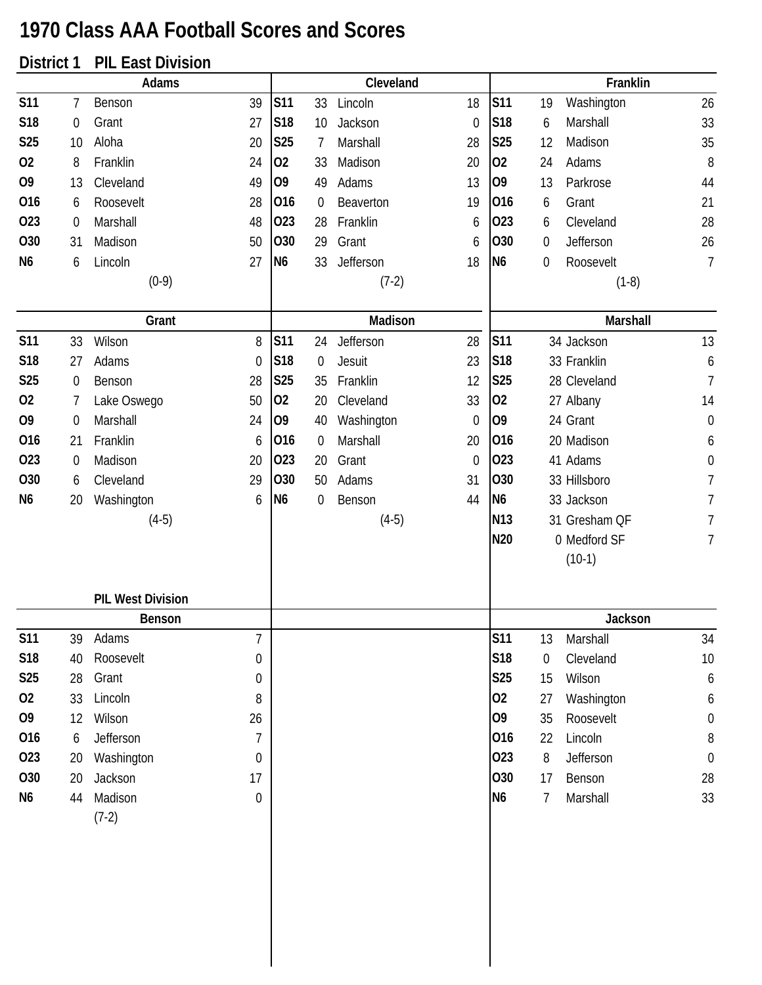## **1970 Class AAA Football Scores and Scores**

## **District 1 PIL East Division**

|                |                  | Adams                    |                  |                 |                  | Cleveland  |                  |                 |    | Franklin      |                  |
|----------------|------------------|--------------------------|------------------|-----------------|------------------|------------|------------------|-----------------|----|---------------|------------------|
| <b>S11</b>     | 7                | Benson                   | 39               | <b>S11</b>      | 33               | Lincoln    | 18               | <b>S11</b>      | 19 | Washington    | 26               |
| S18            | $\boldsymbol{0}$ | Grant                    | 27               | S18             | 10               | Jackson    | $\mathbf 0$      | S <sub>18</sub> | 6  | Marshall      | 33               |
| <b>S25</b>     | 10               | Aloha                    | 20               | S25             | $\overline{7}$   | Marshall   | 28               | S25             | 12 | Madison       | 35               |
| 02             | 8                | Franklin                 | 24               | 02              | 33               | Madison    | 20               | 02              | 24 | Adams         | 8                |
| O <sub>9</sub> | 13               | Cleveland                | 49               | 09              | 49               | Adams      | 13               | O <sub>9</sub>  | 13 | Parkrose      | 44               |
| 016            | 6                | Roosevelt                | 28               | 016             | $\mathbf 0$      | Beaverton  | 19               | 016             | 6  | Grant         | 21               |
| 023            | $\boldsymbol{0}$ | Marshall                 | 48               | 023             | 28               | Franklin   | 6                | 023             | 6  | Cleveland     | 28               |
| 030            | 31               | Madison                  | 50               | 030             | 29               | Grant      | 6                | 030             | 0  | Jefferson     | 26               |
| N <sub>6</sub> | 6                | Lincoln                  | 27               | N <sub>6</sub>  | 33               | Jefferson  | 18               | N <sub>6</sub>  | 0  | Roosevelt     | $\overline{1}$   |
|                |                  | $(0-9)$                  |                  |                 |                  | $(7-2)$    |                  |                 |    | $(1-8)$       |                  |
|                |                  |                          |                  |                 |                  |            |                  |                 |    |               |                  |
|                |                  | Grant                    |                  |                 |                  | Madison    |                  |                 |    | Marshall      |                  |
| <b>S11</b>     | 33               | Wilson                   | 8                | <b>S11</b>      | 24               | Jefferson  | 28               | <b>S11</b>      |    | 34 Jackson    | 13               |
| S18            | 27               | Adams                    | $\boldsymbol{0}$ | S18             | $\boldsymbol{0}$ | Jesuit     | 23               | S18             |    | 33 Franklin   | $\boldsymbol{6}$ |
| <b>S25</b>     | $\boldsymbol{0}$ | Benson                   | 28               | <b>S25</b>      | 35               | Franklin   | 12               | S25             |    | 28 Cleveland  | $\overline{1}$   |
| 02             | 7                | Lake Oswego              | 50               | 02              | 20               | Cleveland  | 33               | 02              |    | 27 Albany     | 14               |
| O <sub>9</sub> | $\mathbf 0$      | Marshall                 | 24               | O <sub>9</sub>  | 40               | Washington | $\boldsymbol{0}$ | O <sub>9</sub>  |    | 24 Grant      | $\boldsymbol{0}$ |
| 016            | 21               | Franklin                 | 6                | 016             | $\boldsymbol{0}$ | Marshall   | 20               | 016             |    | 20 Madison    | 6                |
| 023            | $\mathbf 0$      | Madison                  | 20               | 023             | 20               | Grant      | $\mathbf{0}$     | 023             |    | 41 Adams      | $\boldsymbol{0}$ |
| O30            | 6                | Cleveland                | 29               | O <sub>30</sub> | 50               | Adams      | 31               | 030             |    | 33 Hillsboro  | $\overline{7}$   |
| N <sub>6</sub> | 20               | Washington               | 6                | N <sub>6</sub>  | 0                | Benson     | 44               | N <sub>6</sub>  |    | 33 Jackson    | 7                |
|                |                  | $(4-5)$                  |                  |                 |                  | $(4-5)$    |                  | N <sub>13</sub> |    | 31 Gresham QF | 7                |
|                |                  |                          |                  |                 |                  |            |                  | N20             |    | 0 Medford SF  | 7                |
|                |                  |                          |                  |                 |                  |            |                  |                 |    | $(10-1)$      |                  |
|                |                  | <b>PIL West Division</b> |                  |                 |                  |            |                  |                 |    |               |                  |
|                |                  | Benson                   |                  |                 |                  |            |                  |                 |    | Jackson       |                  |
| <b>S11</b>     | 39               | Adams                    | 7                |                 |                  |            |                  | <b>S11</b>      | 13 | Marshall      | 34               |
| <b>S18</b>     | 40               | Roosevelt                | 0                |                 |                  |            |                  | S18             | 0  | Cleveland     | $10$             |
| <b>S25</b>     | 28               | Grant                    | 0                |                 |                  |            |                  | <b>S25</b>      | 15 | Wilson        | 6                |
| 02             | 33               | Lincoln                  | 8                |                 |                  |            |                  | 02              | 27 | Washington    | 6                |
| O <sub>9</sub> | 12               | Wilson                   | 26               |                 |                  |            |                  | O <sub>9</sub>  | 35 | Roosevelt     | $\boldsymbol{0}$ |
| 016            | 6                | Jefferson                | $\overline{1}$   |                 |                  |            |                  | 016             | 22 | Lincoln       | 8                |
| 023            | 20               | Washington               | $\boldsymbol{0}$ |                 |                  |            |                  | 023             | 8  | Jefferson     | $\mathbf 0$      |
| O30            | 20               | Jackson                  | 17               |                 |                  |            |                  | 030             | 17 | Benson        | 28               |
| N6             | 44               | Madison                  | $\boldsymbol{0}$ |                 |                  |            |                  | N <sub>6</sub>  | 7  | Marshall      | 33               |
|                |                  | $(7-2)$                  |                  |                 |                  |            |                  |                 |    |               |                  |
|                |                  |                          |                  |                 |                  |            |                  |                 |    |               |                  |
|                |                  |                          |                  |                 |                  |            |                  |                 |    |               |                  |
|                |                  |                          |                  |                 |                  |            |                  |                 |    |               |                  |
|                |                  |                          |                  |                 |                  |            |                  |                 |    |               |                  |
|                |                  |                          |                  |                 |                  |            |                  |                 |    |               |                  |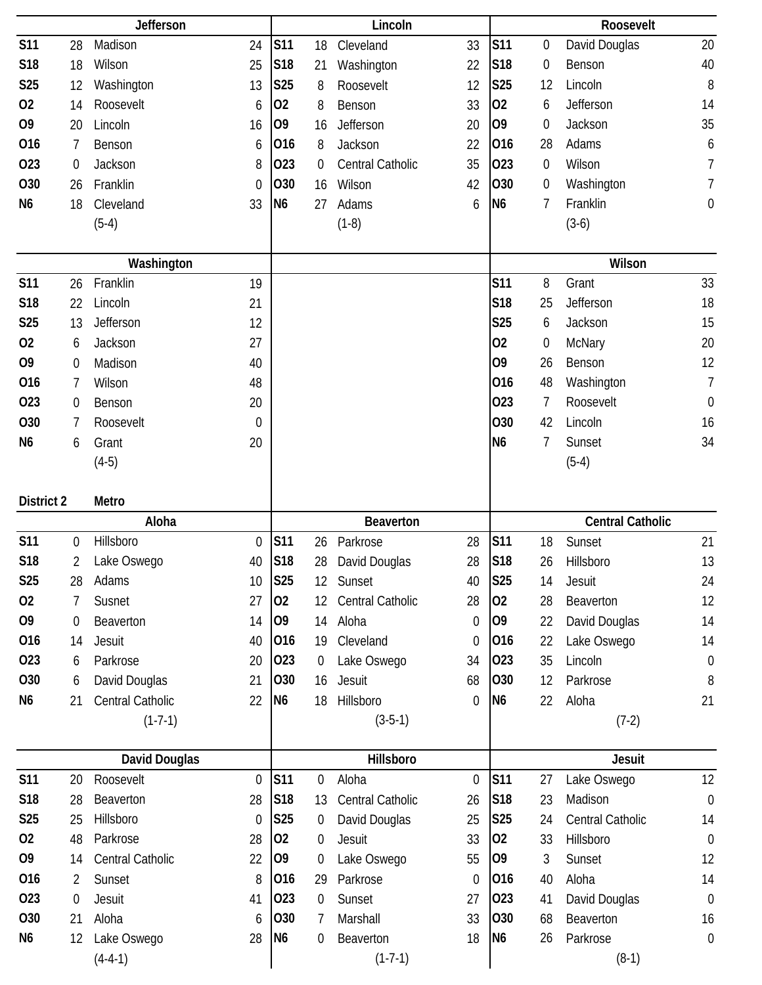|                 |                  | Jefferson                |                  |                 |                  | Lincoln                |                  |                |                  | Roosevelt               |                  |
|-----------------|------------------|--------------------------|------------------|-----------------|------------------|------------------------|------------------|----------------|------------------|-------------------------|------------------|
| <b>S11</b>      | 28               | Madison                  | 24               | <b>S11</b>      | 18               | Cleveland              | 33               | <b>S11</b>     | 0                | David Douglas           | 20               |
| S18             | 18               | Wilson                   | 25               | S18             | 21               | Washington             | 22               | S18            | 0                | Benson                  | 40               |
| S <sub>25</sub> | 12               | Washington               | 13               | <b>S25</b>      | 8                | Roosevelt              | 12               | S25            | 12               | Lincoln                 | 8                |
| 02              | 14               | Roosevelt                | 6                | 02              | 8                | Benson                 | 33               | 02             | 6                | Jefferson               | 14               |
| O <sub>9</sub>  | 20               | Lincoln                  | 16               | O <sub>9</sub>  | 16               | Jefferson              | 20               | O <sub>9</sub> | 0                | Jackson                 | 35               |
| 016             | 7                | Benson                   | 6                | 016             | 8                | Jackson                | 22               | 016            | 28               | Adams                   | 6                |
| 023             | $\boldsymbol{0}$ | Jackson                  | 8                | 023             | $\mathbf 0$      | Central Catholic       | 35               | 023            | 0                | Wilson                  | $\overline{7}$   |
| 030             | 26               | Franklin                 | $\boldsymbol{0}$ | <b>O30</b>      | 16               | Wilson                 | 42               | 030            | $\boldsymbol{0}$ | Washington              | $\overline{7}$   |
| N <sub>6</sub>  | 18               | Cleveland                | 33               | N <sub>6</sub>  | 27               | Adams                  | 6                | N <sub>6</sub> | 7                | Franklin                | $\boldsymbol{0}$ |
|                 |                  | $(5-4)$                  |                  |                 |                  | $(1-8)$                |                  |                |                  | $(3-6)$                 |                  |
|                 |                  |                          |                  |                 |                  |                        |                  |                |                  |                         |                  |
|                 |                  | Washington               |                  |                 |                  |                        |                  |                |                  | Wilson                  |                  |
| <b>S11</b>      | 26               | Franklin                 | 19               |                 |                  |                        |                  | <b>S11</b>     | 8                | Grant                   | 33               |
| S18             | 22               | Lincoln                  | 21               |                 |                  |                        |                  | <b>S18</b>     | 25               | Jefferson               | 18               |
| <b>S25</b>      | 13               | Jefferson                | 12               |                 |                  |                        |                  | <b>S25</b>     | 6                | Jackson                 | 15               |
| 02              | 6                | Jackson                  | 27               |                 |                  |                        |                  | 02             | 0                | McNary                  | 20               |
| O <sub>9</sub>  | $\boldsymbol{0}$ | Madison                  | 40               |                 |                  |                        |                  | 09             | 26               | Benson                  | 12               |
| 016             | 7                | Wilson                   | 48               |                 |                  |                        |                  | 016            | 48               | Washington              | $\overline{7}$   |
| 023             | 0                | Benson                   | 20               |                 |                  |                        |                  | 023            | 7                | Roosevelt               | $\mathbf 0$      |
| 030             | 7                | Roosevelt                | $\boldsymbol{0}$ |                 |                  |                        |                  | 030            | 42               | Lincoln                 | 16               |
| N <sub>6</sub>  | 6                | Grant                    | 20               |                 |                  |                        |                  | N <sub>6</sub> | 7                | Sunset                  | 34               |
|                 |                  | $(4-5)$                  |                  |                 |                  |                        |                  |                |                  | $(5-4)$                 |                  |
|                 |                  |                          |                  |                 |                  |                        |                  |                |                  |                         |                  |
| District 2      |                  | Metro                    |                  |                 |                  |                        |                  |                |                  |                         |                  |
|                 |                  |                          |                  |                 |                  |                        |                  |                |                  |                         |                  |
|                 |                  | Aloha                    |                  |                 |                  | Beaverton              |                  |                |                  | <b>Central Catholic</b> |                  |
| <b>S11</b>      | $\boldsymbol{0}$ | Hillsboro                | 0                | <b>S11</b>      | 26               | Parkrose               | 28               | <b>S11</b>     | 18               | Sunset                  | 21               |
| S18             | 2                | Lake Oswego              | 40               | S18             | 28               | David Douglas          | 28               | S18            | 26               | Hillsboro               | 13               |
| S <sub>25</sub> | 28               | Adams                    | 10               | <b>S25</b>      | 12               | Sunset                 | 40               | <b>S25</b>     | 14               | Jesuit                  | 24               |
| 02              | 7                | Susnet                   | 27               | 02              | 12               | Central Catholic       | 28               | 02             | 28               | Beaverton               | 12               |
| O <sub>9</sub>  | 0                | Beaverton                | 14               | O <sub>9</sub>  | 14               | Aloha                  | $\mathbf 0$      | O <sub>9</sub> | 22               | David Douglas           | 14               |
| 016             | 14               | Jesuit                   | 40               | 016             | 19               | Cleveland              | 0                | 016            | 22               | Lake Oswego             | 14               |
| 023             | 6                | Parkrose                 | 20               | 023             | 0                | Lake Oswego            | 34               | 023            | 35               | Lincoln                 | $\boldsymbol{0}$ |
| O30             | 6                | David Douglas            | 21               | O <sub>30</sub> | 16               | Jesuit                 | 68               | 030            | 12               | Parkrose                | 8                |
| N6              | 21               | Central Catholic         | 22               | N <sub>6</sub>  | 18               | Hillsboro              | 0                | N <sub>6</sub> | 22               | Aloha                   | 21               |
|                 |                  | $(1-7-1)$                |                  |                 |                  | $(3-5-1)$              |                  |                |                  | $(7-2)$                 |                  |
|                 |                  |                          |                  |                 |                  |                        |                  |                |                  |                         |                  |
|                 |                  | David Douglas            |                  |                 |                  | Hillsboro              |                  |                |                  | <b>Jesuit</b>           |                  |
| <b>S11</b>      | 20               | Roosevelt                | $\mathbf 0$      | <b>S11</b>      | $\boldsymbol{0}$ | Aloha                  | $\boldsymbol{0}$ | <b>S11</b>     | 27               | Lake Oswego             | 12               |
| S18             | 28               | Beaverton                | 28               | S <sub>18</sub> | 13               | Central Catholic       | 26               | S18            | 23               | Madison                 | $\mathbf 0$      |
| <b>S25</b>      | 25               | Hillsboro                | 0                | <b>S25</b>      | $\overline{0}$   | David Douglas          | 25               | S25            | 24               | Central Catholic        | 14               |
| 02              | 48               | Parkrose                 | 28               | 02              | 0                | <b>Jesuit</b>          | 33               | 02             | 33               | Hillsboro               | $\mathbf 0$      |
| O <sub>9</sub>  | 14               | Central Catholic         | 22               | 09              | $\boldsymbol{0}$ | Lake Oswego            | 55               | O <sub>9</sub> | 3                | Sunset                  | 12               |
| 016             | $\overline{2}$   | Sunset                   | 8                | 016             | 29               | Parkrose               | $\boldsymbol{0}$ | 016            | 40               | Aloha                   | 14               |
| 023             | $\mathbf 0$      | Jesuit                   | 41               | 023             | 0                | Sunset                 | 27               | 023            | 41               | David Douglas           | $\mathbf 0$      |
| 030             | 21               | Aloha                    | 6                | 030             | 7                | Marshall               | 33               | 030            | 68               | Beaverton               | 16               |
| N <sub>6</sub>  | 12               | Lake Oswego<br>$(4-4-1)$ | 28               | N <sub>6</sub>  | 0                | Beaverton<br>$(1-7-1)$ | 18               | N <sub>6</sub> | 26               | Parkrose<br>$(8-1)$     | $\mathbf 0$      |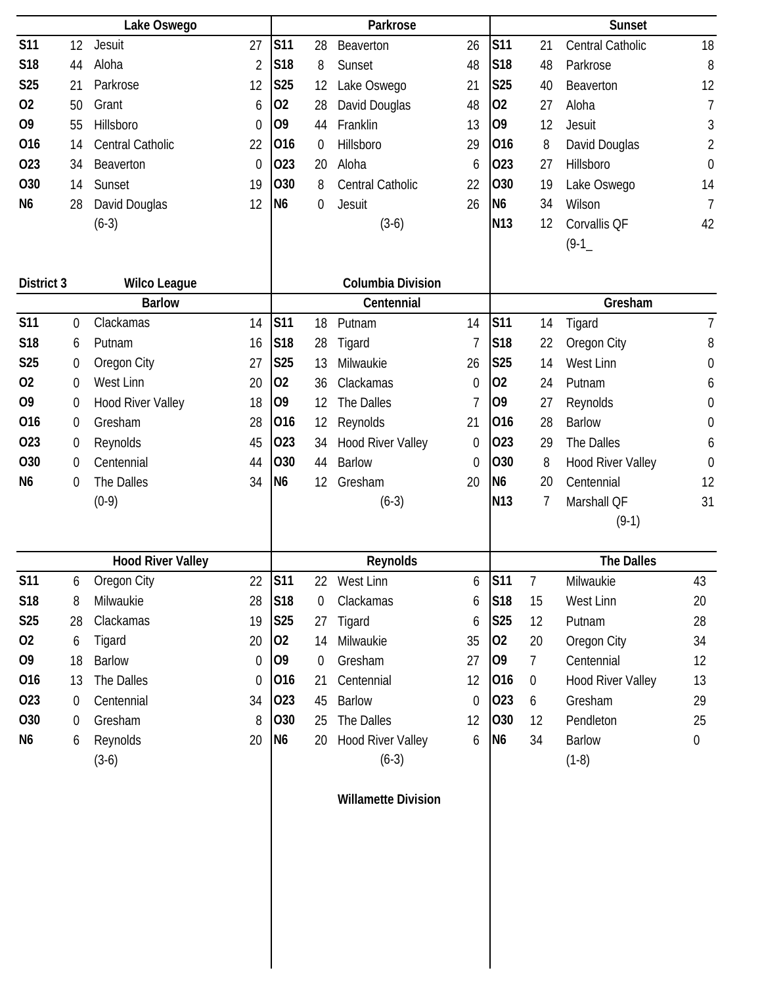|                 |                  | Lake Oswego              |                  |                 |             | Parkrose                   |    |                 |                | <b>Sunset</b>            |                  |
|-----------------|------------------|--------------------------|------------------|-----------------|-------------|----------------------------|----|-----------------|----------------|--------------------------|------------------|
| <b>S11</b>      | 12               | Jesuit                   | 27               | <b>S11</b>      | 28          | Beaverton                  | 26 | <b>S11</b>      | 21             | <b>Central Catholic</b>  | 18               |
| S18             | 44               | Aloha                    | $\overline{2}$   | S <sub>18</sub> | 8           | Sunset                     | 48 | <b>S18</b>      | 48             | Parkrose                 | 8                |
| <b>S25</b>      | 21               | Parkrose                 | 12               | <b>S25</b>      | 12          | Lake Oswego                | 21 | <b>S25</b>      | 40             | Beaverton                | 12               |
| 02              | 50               | Grant                    | 6                | 02              | 28          | David Douglas              | 48 | 02              | 27             | Aloha                    | $\overline{1}$   |
| O <sub>9</sub>  | 55               | Hillsboro                | 0                | O <sub>9</sub>  | 44          | Franklin                   | 13 | O <sub>9</sub>  | 12             | Jesuit                   | 3                |
| 016             | 14               | Central Catholic         | 22               | 016             | $\mathbf 0$ | Hillsboro                  | 29 | 016             | 8              | David Douglas            | $\overline{2}$   |
| 023             | 34               | Beaverton                | $\mathbf 0$      | 023             | 20          | Aloha                      | 6  | 023             | 27             | Hillsboro                | $\boldsymbol{0}$ |
| 030             | 14               | Sunset                   | 19               | 030             | 8           | Central Catholic           | 22 | O30             | 19             | Lake Oswego              | 14               |
| N <sub>6</sub>  | 28               | David Douglas            | 12               | N <sub>6</sub>  | $\mathbf 0$ | <b>Jesuit</b>              | 26 | N <sub>6</sub>  | 34             | Wilson                   | $\overline{1}$   |
|                 |                  | $(6-3)$                  |                  |                 |             | $(3-6)$                    |    | N <sub>13</sub> | 12             | Corvallis QF             | 42               |
|                 |                  |                          |                  |                 |             |                            |    |                 |                | $(9-1)$                  |                  |
| District 3      |                  | <b>Wilco League</b>      |                  |                 |             | <b>Columbia Division</b>   |    |                 |                |                          |                  |
|                 |                  | <b>Barlow</b>            |                  |                 |             | Centennial                 |    |                 |                | Gresham                  |                  |
| <b>S11</b>      | $\mathbf 0$      | Clackamas                | 14               | <b>S11</b>      | 18          | Putnam                     | 14 | <b>S11</b>      | 14             | Tigard                   | $\overline{7}$   |
| S18             | 6                | Putnam                   | 16               | S <sub>18</sub> | 28          | Tigard                     | 7  | <b>S18</b>      | 22             | Oregon City              | 8                |
| S <sub>25</sub> | $\boldsymbol{0}$ | Oregon City              | 27               | <b>S25</b>      | 13          | Milwaukie                  | 26 | <b>S25</b>      | 14             | West Linn                | 0                |
| 02              | $\mathbf 0$      | West Linn                | 20               | 02              | 36          | Clackamas                  | 0  | 02              | 24             | Putnam                   | 6                |
| O <sub>9</sub>  | $\boldsymbol{0}$ | <b>Hood River Valley</b> | 18               | O <sub>9</sub>  | 12          | The Dalles                 | 7  | O <sub>9</sub>  | 27             | Reynolds                 | 0                |
| 016             | $\boldsymbol{0}$ | Gresham                  | 28               | 016             | 12          | Reynolds                   | 21 | 016             | 28             | <b>Barlow</b>            | 0                |
| 023             | $\boldsymbol{0}$ | Reynolds                 | 45               | 023             | 34          | <b>Hood River Valley</b>   | 0  | 023             | 29             | The Dalles               | 6                |
| 030             | 0                | Centennial               | 44               | 030             | 44          | <b>Barlow</b>              | 0  | O30             | 8              | <b>Hood River Valley</b> | 0                |
| N <sub>6</sub>  | $\mathbf 0$      | The Dalles               | 34               | N <sub>6</sub>  | 12          | Gresham                    | 20 | N <sub>6</sub>  | 20             | Centennial               | 12               |
|                 |                  | $(0-9)$                  |                  |                 |             | $(6-3)$                    |    | N <sub>13</sub> | 7              | Marshall QF              | 31               |
|                 |                  |                          |                  |                 |             |                            |    |                 |                | $(9-1)$                  |                  |
|                 |                  | <b>Hood River Valley</b> |                  |                 |             | Reynolds                   |    |                 |                | <b>The Dalles</b>        |                  |
| <b>S11</b>      | 6                | Oregon City              | 22               | <b>S11</b>      | 22          | West Linn                  | 6  | <b>S11</b>      | $\overline{7}$ | Milwaukie                | 43               |
| <b>S18</b>      | 8                | Milwaukie                | 28               | <b>S18</b>      | $\mathbf 0$ | Clackamas                  | 6  | S18             | 15             | West Linn                | 20               |
| <b>S25</b>      | 28               | Clackamas                | 19               | S <sub>25</sub> | 27          | Tigard                     | 6  | S <sub>25</sub> | 12             | Putnam                   | 28               |
| 02              | 6                | Tigard                   | 20               | 02              | 14          | Milwaukie                  | 35 | 02              | 20             | Oregon City              | 34               |
| O <sub>9</sub>  | 18               | <b>Barlow</b>            | 0                | 09              | $\mathbf 0$ | Gresham                    | 27 | O <sub>9</sub>  | $\overline{7}$ | Centennial               | 12               |
| 016             | 13               | The Dalles               | $\boldsymbol{0}$ | 016             | 21          | Centennial                 | 12 | 016             | $\overline{0}$ | <b>Hood River Valley</b> | 13               |
| 023             | $\mathbf 0$      | Centennial               | 34               | 023             | 45          | <b>Barlow</b>              | 0  | 023             | 6              | Gresham                  | 29               |
| O30             | $\boldsymbol{0}$ | Gresham                  | 8                | 030             | 25          | The Dalles                 | 12 | 030             | 12             | Pendleton                | 25               |
| N <sub>6</sub>  | 6                | Reynolds                 | 20               | N <sub>6</sub>  | 20          | Hood River Valley          | 6  | N <sub>6</sub>  | 34             | <b>Barlow</b>            | $\boldsymbol{0}$ |
|                 |                  | $(3-6)$                  |                  |                 |             | $(6-3)$                    |    |                 |                | $(1-8)$                  |                  |
|                 |                  |                          |                  |                 |             | <b>Willamette Division</b> |    |                 |                |                          |                  |
|                 |                  |                          |                  |                 |             |                            |    |                 |                |                          |                  |
|                 |                  |                          |                  |                 |             |                            |    |                 |                |                          |                  |
|                 |                  |                          |                  |                 |             |                            |    |                 |                |                          |                  |
|                 |                  |                          |                  |                 |             |                            |    |                 |                |                          |                  |
|                 |                  |                          |                  |                 |             |                            |    |                 |                |                          |                  |
|                 |                  |                          |                  |                 |             |                            |    |                 |                |                          |                  |
|                 |                  |                          |                  |                 |             |                            |    |                 |                |                          |                  |
|                 |                  |                          |                  |                 |             |                            |    |                 |                |                          |                  |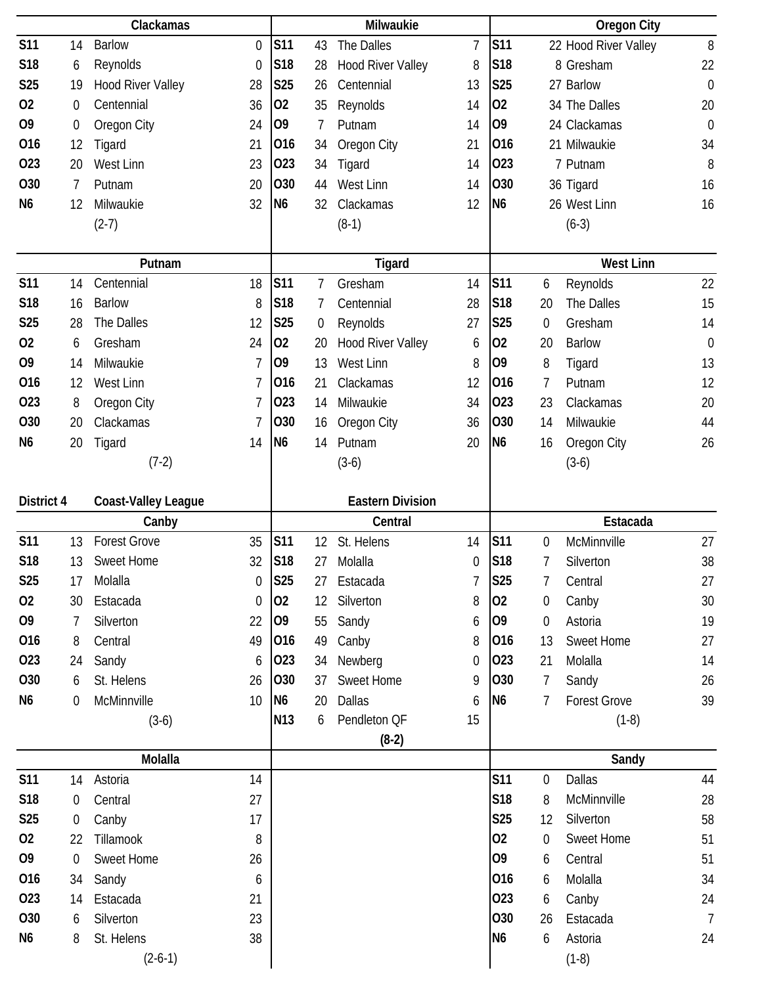|                 |                  | Clackamas                  |                  |                 |    | Milwaukie                |    |                |                  | <b>Oregon City</b>   |                |
|-----------------|------------------|----------------------------|------------------|-----------------|----|--------------------------|----|----------------|------------------|----------------------|----------------|
| <b>S11</b>      | 14               | <b>Barlow</b>              | 0                | <b>S11</b>      | 43 | The Dalles               | 7  | <b>S11</b>     |                  | 22 Hood River Valley | $8\,$          |
| S18             | 6                | Reynolds                   | $\boldsymbol{0}$ | S18             | 28 | <b>Hood River Valley</b> | 8  | S18            |                  | 8 Gresham            | 22             |
| S <sub>25</sub> | 19               | Hood River Valley          | 28               | <b>S25</b>      | 26 | Centennial               | 13 | <b>S25</b>     |                  | 27 Barlow            | $\mathbf 0$    |
| 02              | $\mathbf 0$      | Centennial                 | 36               | 02              | 35 | Reynolds                 | 14 | 02             |                  | 34 The Dalles        | 20             |
| O <sub>9</sub>  | $\boldsymbol{0}$ | Oregon City                | 24               | O <sub>9</sub>  | 7  | Putnam                   | 14 | O <sub>9</sub> |                  | 24 Clackamas         | $\mathbf 0$    |
| 016             | 12               | Tigard                     | 21               | 016             | 34 | Oregon City              | 21 | 016            |                  | 21 Milwaukie         | 34             |
| 023             | 20               | West Linn                  | 23               | 023             | 34 | Tigard                   | 14 | 023            |                  | 7 Putnam             | 8              |
| O30             | 7                | Putnam                     | 20               | 030             | 44 | West Linn                | 14 | 030            |                  | 36 Tigard            | 16             |
| N <sub>6</sub>  | 12               | Milwaukie                  | 32               | N <sub>6</sub>  | 32 | Clackamas                | 12 | N <sub>6</sub> |                  | 26 West Linn         | 16             |
|                 |                  | $(2-7)$                    |                  |                 |    | $(8-1)$                  |    |                |                  | $(6-3)$              |                |
|                 |                  |                            |                  |                 |    |                          |    |                |                  |                      |                |
|                 |                  | Putnam                     |                  |                 |    | <b>Tigard</b>            |    |                |                  | <b>West Linn</b>     |                |
| <b>S11</b>      | 14               | Centennial                 | 18               | <b>S11</b>      | 7  | Gresham                  | 14 | <b>S11</b>     | 6                | Reynolds             | 22             |
| S18             | 16               | <b>Barlow</b>              | 8                | S18             | 7  | Centennial               | 28 | S18            | 20               | The Dalles           | 15             |
| S <sub>25</sub> | 28               | The Dalles                 | 12               | <b>S25</b>      | 0  | Reynolds                 | 27 | <b>S25</b>     | $\boldsymbol{0}$ | Gresham              | 14             |
| 02              | 6                | Gresham                    | 24               | 02              | 20 | <b>Hood River Valley</b> | 6  | 02             | 20               | <b>Barlow</b>        | $\mathbf 0$    |
| O <sub>9</sub>  | 14               | Milwaukie                  | 7                | 09              | 13 | West Linn                | 8  | O <sub>9</sub> | 8                | Tigard               | 13             |
| 016             | 12               | West Linn                  | 7                | 016             | 21 | Clackamas                | 12 | 016            | 7                | Putnam               | 12             |
| 023             | 8                | Oregon City                | 7                | 023             | 14 | Milwaukie                | 34 | 023            | 23               | Clackamas            | 20             |
| <b>O30</b>      | 20               | Clackamas                  | 7                | O30             | 16 | Oregon City              | 36 | 030            | 14               | Milwaukie            | 44             |
| N <sub>6</sub>  | 20               | Tigard                     | 14               | N <sub>6</sub>  | 14 | Putnam                   | 20 | N <sub>6</sub> | 16               | Oregon City          | 26             |
|                 |                  | $(7-2)$                    |                  |                 |    | $(3-6)$                  |    |                |                  | $(3-6)$              |                |
|                 |                  |                            |                  |                 |    |                          |    |                |                  |                      |                |
|                 |                  |                            |                  |                 |    |                          |    |                |                  |                      |                |
| District 4      |                  | <b>Coast-Valley League</b> |                  |                 |    | <b>Eastern Division</b>  |    |                |                  |                      |                |
|                 |                  | Canby                      |                  |                 |    | Central                  |    |                |                  | Estacada             |                |
| <b>S11</b>      | 13               | <b>Forest Grove</b>        | 35               | <b>S11</b>      | 12 | St. Helens               | 14 | <b>S11</b>     | $\boldsymbol{0}$ | McMinnville          | 27             |
| <b>S18</b>      | 13               | <b>Sweet Home</b>          | 32               | S <sub>18</sub> | 27 | Molalla                  | 0  | S18            | 7                | Silverton            | 38             |
| <b>S25</b>      | 17               | Molalla                    | $\mathbf 0$      | <b>S25</b>      | 27 | Estacada                 | 7  | <b>S25</b>     | 7                | Central              | 27             |
| 02              | 30               | Estacada                   | $\mathbf 0$      | 02              | 12 | Silverton                | 8  | 02             | 0                | Canby                | 30             |
| O <sub>9</sub>  | 7                | Silverton                  | 22               | 09              | 55 | Sandy                    | 6  | O <sub>9</sub> | $\boldsymbol{0}$ | Astoria              | 19             |
| 016             | 8                | Central                    | 49               | 016             | 49 | Canby                    | 8  | 016            | 13               | Sweet Home           | 27             |
| 023             | 24               | Sandy                      | 6                | 023             | 34 | Newberg                  | 0  | 023            | 21               | Molalla              | 14             |
| O30             | 6                | St. Helens                 | 26               | 030             | 37 | <b>Sweet Home</b>        | 9  | 030            | 7                | Sandy                | 26             |
| N6              | $\mathbf 0$      | McMinnville                | 10               | N <sub>6</sub>  | 20 | Dallas                   | 6  | N <sub>6</sub> | 7                | <b>Forest Grove</b>  | 39             |
|                 |                  | $(3-6)$                    |                  | N <sub>13</sub> | 6  | Pendleton QF             | 15 |                |                  | $(1-8)$              |                |
|                 |                  |                            |                  |                 |    | $(8-2)$                  |    |                |                  |                      |                |
|                 |                  | Molalla                    |                  |                 |    |                          |    |                |                  | Sandy                |                |
| <b>S11</b>      | 14               | Astoria                    | 14               |                 |    |                          |    | <b>S11</b>     | 0                | <b>Dallas</b>        | 44             |
| S18             | 0                | Central                    | 27               |                 |    |                          |    | <b>S18</b>     | 8                | McMinnville          | 28             |
| <b>S25</b>      | 0                | Canby                      | 17               |                 |    |                          |    | <b>S25</b>     | 12               | Silverton            | 58             |
| 02              | 22               | Tillamook                  | 8                |                 |    |                          |    | 02             | 0                | Sweet Home           | 51             |
| 09              | $\mathbf 0$      | <b>Sweet Home</b>          | 26               |                 |    |                          |    | O <sub>9</sub> | 6                | Central              | 51             |
| 016             | 34               | Sandy                      | 6                |                 |    |                          |    | 016            | 6                | Molalla              | 34             |
| 023             | 14               | Estacada                   | 21               |                 |    |                          |    | 023            | 6                | Canby                | 24             |
| O30             | 6                | Silverton                  | 23               |                 |    |                          |    | O30            | 26               | Estacada             | $\overline{7}$ |
| N <sub>6</sub>  | 8                | St. Helens<br>$(2-6-1)$    | 38               |                 |    |                          |    | N <sub>6</sub> | 6                | Astoria<br>$(1-8)$   | 24             |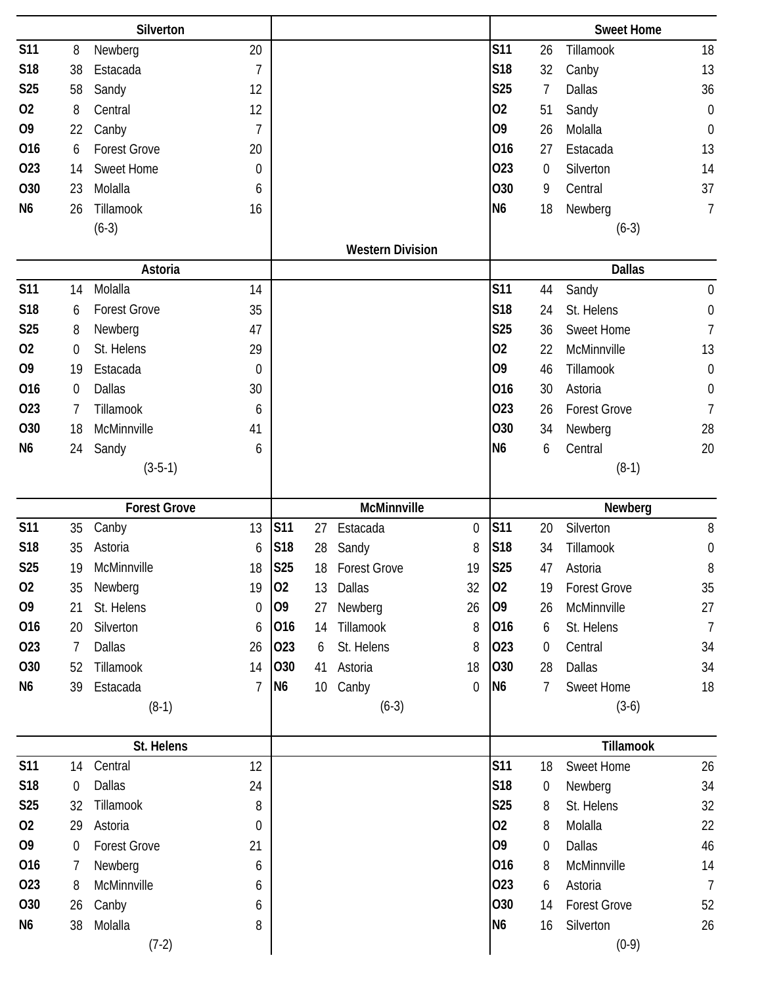|                               |                       | Silverton              |                  |                   |                 |                              |             |                      |                       | <b>Sweet Home</b>              |                       |
|-------------------------------|-----------------------|------------------------|------------------|-------------------|-----------------|------------------------------|-------------|----------------------|-----------------------|--------------------------------|-----------------------|
| <b>S11</b>                    | 8                     | Newberg                | 20               |                   |                 |                              |             | <b>S11</b>           | 26                    | Tillamook                      | 18                    |
| <b>S18</b>                    | 38                    | Estacada               | $\overline{1}$   |                   |                 |                              |             | <b>S18</b>           | 32                    | Canby                          | 13                    |
| <b>S25</b>                    | 58                    | Sandy                  | 12               |                   |                 |                              |             | <b>S25</b>           | 7                     | <b>Dallas</b>                  | 36                    |
| 02                            | 8                     | Central                | 12               |                   |                 |                              |             | 02                   | 51                    | Sandy                          | $\boldsymbol{0}$      |
| O <sub>9</sub>                | 22                    | Canby                  | $\overline{1}$   |                   |                 |                              |             | O <sub>9</sub>       | 26                    | Molalla                        | $\mathbf 0$           |
| 016                           | 6                     | <b>Forest Grove</b>    | 20               |                   |                 |                              |             | 016                  | 27                    | Estacada                       | 13                    |
| 023                           | 14                    | <b>Sweet Home</b>      | 0                |                   |                 |                              |             | 023                  | 0                     | Silverton                      | 14                    |
| O30                           | 23                    | Molalla                | 6                |                   |                 |                              |             | O30                  | 9                     | Central                        | 37                    |
| N <sub>6</sub>                | 26                    | Tillamook              | 16               |                   |                 |                              |             | N <sub>6</sub>       | 18                    | Newberg                        | $\overline{1}$        |
|                               |                       | $(6-3)$                |                  |                   |                 |                              |             |                      |                       | $(6-3)$                        |                       |
|                               |                       |                        |                  |                   |                 | <b>Western Division</b>      |             |                      |                       |                                |                       |
|                               |                       | Astoria                |                  |                   |                 |                              |             |                      |                       | <b>Dallas</b>                  |                       |
| <b>S11</b>                    | 14                    | Molalla                | 14               |                   |                 |                              |             | <b>S11</b>           | 44                    | Sandy                          | $\boldsymbol{0}$      |
| <b>S18</b>                    | 6                     | <b>Forest Grove</b>    | 35               |                   |                 |                              |             | S18                  | 24                    | St. Helens                     | $\boldsymbol{0}$      |
| <b>S25</b>                    | 8                     | Newberg                | 47               |                   |                 |                              |             | <b>S25</b>           | 36                    | Sweet Home                     | $\overline{1}$        |
| 02                            | $\mathbf 0$           | St. Helens             | 29               |                   |                 |                              |             | 02                   | 22                    | McMinnville                    | 13                    |
| O <sub>9</sub>                | 19                    | Estacada               | $\mathbf 0$      |                   |                 |                              |             | O <sub>9</sub>       | 46                    | Tillamook                      | $\boldsymbol{0}$      |
| 016                           | $\mathbf 0$           | <b>Dallas</b>          | 30               |                   |                 |                              |             | 016                  | 30                    | Astoria                        | $\boldsymbol{0}$      |
| 023                           | 7                     | Tillamook              | 6                |                   |                 |                              |             | 023                  | 26                    | <b>Forest Grove</b>            | $\overline{1}$        |
| <b>O30</b>                    | 18                    | McMinnville            | 41               |                   |                 |                              |             | 030                  | 34                    | Newberg                        | 28                    |
| N <sub>6</sub>                | 24                    | Sandy                  | 6                |                   |                 |                              |             | N <sub>6</sub>       | 6                     | Central                        | 20                    |
|                               |                       | $(3-5-1)$              |                  |                   |                 |                              |             |                      |                       | $(8-1)$                        |                       |
|                               |                       |                        |                  |                   |                 |                              |             |                      |                       |                                |                       |
|                               |                       |                        |                  |                   |                 |                              |             |                      |                       |                                |                       |
|                               |                       | <b>Forest Grove</b>    |                  |                   |                 | McMinnville                  | $\mathbf 0$ |                      |                       | Newberg                        |                       |
| <b>S11</b><br>S <sub>18</sub> | 35<br>35              | Canby<br>Astoria       | 13<br>6          | <b>S11</b><br>S18 | 27              | Estacada                     | 8           | <b>S11</b><br>S18    | 20<br>34              | Silverton<br>Tillamook         | 8                     |
| <b>S25</b>                    | 19                    | McMinnville            | 18               | S25               | 28<br>18        | Sandy<br><b>Forest Grove</b> | 19          | <b>S25</b>           | 47                    | Astoria                        | $\boldsymbol{0}$<br>8 |
| 02                            | 35                    | Newberg                | 19               | 02                | 13              | Dallas                       | 32          | 02                   | 19                    | <b>Forest Grove</b>            | 35                    |
| O <sub>9</sub>                | 21                    | St. Helens             | $\boldsymbol{0}$ | O <sub>9</sub>    | 27              | Newberg                      | 26          | 09                   | 26                    | McMinnville                    | 27                    |
| 016                           | 20                    | Silverton              | 6                | 016               | 14              | Tillamook                    | 8           | 016                  | 6                     | St. Helens                     | $\overline{7}$        |
| 023                           | 7                     | Dallas                 | 26               | 023               | 6               | St. Helens                   | 8           | 023                  | 0                     | Central                        | 34                    |
| O30                           | 52                    | Tillamook              | 14               | 030               | 41              | Astoria                      | 18          | 030                  | 28                    | Dallas                         | 34                    |
| N <sub>6</sub>                | 39                    | Estacada               | $\overline{7}$   | N <sub>6</sub>    | 10 <sup>°</sup> | Canby                        | 0           | N <sub>6</sub>       | 7                     | Sweet Home                     | 18                    |
|                               |                       | $(8-1)$                |                  |                   |                 | $(6-3)$                      |             |                      |                       | $(3-6)$                        |                       |
|                               |                       |                        |                  |                   |                 |                              |             |                      |                       |                                |                       |
|                               |                       | St. Helens             |                  |                   |                 |                              |             |                      |                       | Tillamook                      |                       |
| <b>S11</b>                    | 14                    | Central                | 12               |                   |                 |                              |             | <b>S11</b>           | 18                    | Sweet Home                     | 26                    |
| S18                           | $\overline{0}$        | Dallas                 | 24               |                   |                 |                              |             | <b>S18</b>           | 0                     | Newberg                        | 34                    |
| <b>S25</b>                    | 32                    | Tillamook              | 8                |                   |                 |                              |             | <b>S25</b>           | 8                     | St. Helens                     | 32                    |
| 02<br>O <sub>9</sub>          | 29                    | Astoria                | $\boldsymbol{0}$ |                   |                 |                              |             | 02<br>O <sub>9</sub> | 8                     | Molalla                        | 22                    |
| 016                           | $\boldsymbol{0}$<br>7 | <b>Forest Grove</b>    | 21<br>6          |                   |                 |                              |             | 016                  | $\boldsymbol{0}$<br>8 | <b>Dallas</b><br>McMinnville   | 46                    |
| 023                           | 8                     | Newberg<br>McMinnville | 6                |                   |                 |                              |             | 023                  | 6                     |                                | 14<br>$\overline{7}$  |
| O30                           | 26                    |                        | 6                |                   |                 |                              |             | O30                  | 14                    | Astoria<br><b>Forest Grove</b> | 52                    |
| N <sub>6</sub>                | 38                    | Canby<br>Molalla       | 8                |                   |                 |                              |             | N <sub>6</sub>       | 16                    | Silverton                      | 26                    |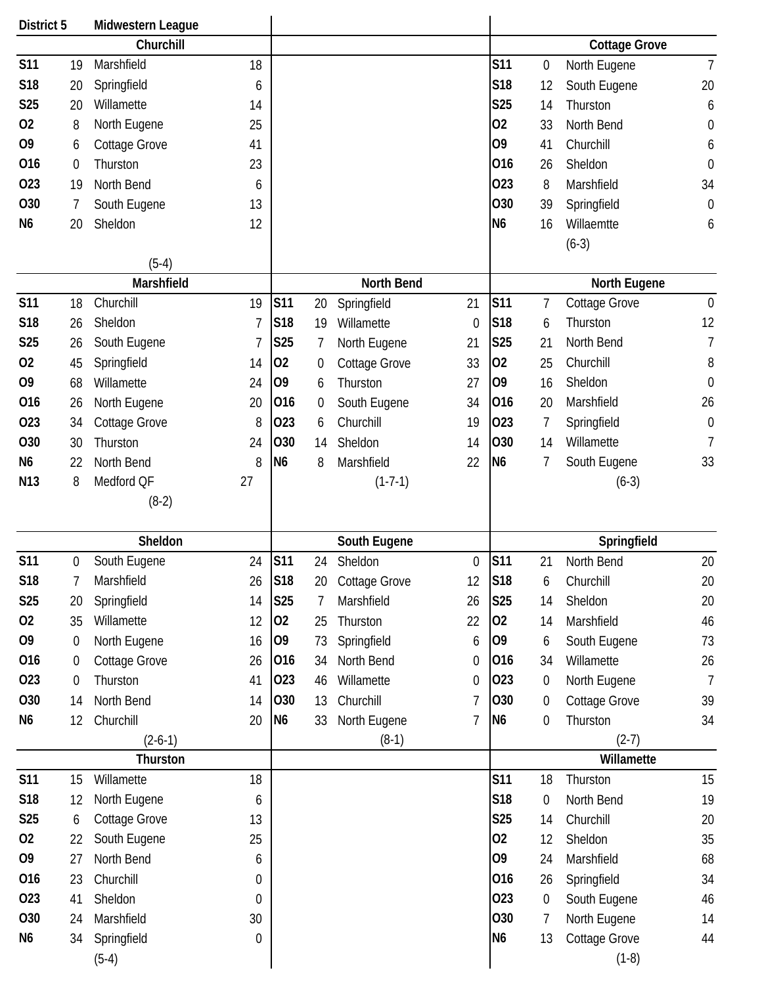| District 5      |                  | Midwestern League      |    |                 |                  |                      |                  |                 |                  |                                 |                  |
|-----------------|------------------|------------------------|----|-----------------|------------------|----------------------|------------------|-----------------|------------------|---------------------------------|------------------|
|                 |                  | Churchill              |    |                 |                  |                      |                  |                 |                  | <b>Cottage Grove</b>            |                  |
| <b>S11</b>      | 19               | Marshfield             | 18 |                 |                  |                      |                  | <b>S11</b>      | $\boldsymbol{0}$ | North Eugene                    | $\overline{7}$   |
| S <sub>18</sub> | 20               | Springfield            | 6  |                 |                  |                      |                  | <b>S18</b>      | 12               | South Eugene                    | 20               |
| <b>S25</b>      | 20               | Willamette             | 14 |                 |                  |                      |                  | <b>S25</b>      | 14               | Thurston                        | 6                |
| 02              | 8                | North Eugene           | 25 |                 |                  |                      |                  | 02              | 33               | North Bend                      | $\boldsymbol{0}$ |
| O <sub>9</sub>  | 6                | Cottage Grove          | 41 |                 |                  |                      |                  | O <sub>9</sub>  | 41               | Churchill                       | 6                |
| 016             | $\boldsymbol{0}$ | Thurston               | 23 |                 |                  |                      |                  | 016             | 26               | Sheldon                         | $\boldsymbol{0}$ |
| 023             | 19               | North Bend             | 6  |                 |                  |                      |                  | 023             | 8                | Marshfield                      | 34               |
| <b>O30</b>      | 7                | South Eugene           | 13 |                 |                  |                      |                  | O <sub>30</sub> | 39               | Springfield                     | $\mathbf 0$      |
| N <sub>6</sub>  | 20               | Sheldon                | 12 |                 |                  |                      |                  | N <sub>6</sub>  | 16               | Willaemtte                      | 6                |
|                 |                  |                        |    |                 |                  |                      |                  |                 |                  | $(6-3)$                         |                  |
|                 |                  | $(5-4)$                |    |                 |                  |                      |                  |                 |                  |                                 |                  |
|                 |                  | Marshfield             |    |                 |                  | North Bend           |                  |                 |                  | North Eugene                    |                  |
| <b>S11</b>      | 18               | Churchill              | 19 | <b>S11</b>      | 20               | Springfield          | 21               | <b>S11</b>      | 7                | <b>Cottage Grove</b>            | $\mathbf 0$      |
| S18             | 26               | Sheldon                |    | S18             | 19               | Willamette           | $\mathbf 0$      | <b>S18</b>      | 6                | Thurston                        | 12               |
| <b>S25</b>      | 26               | South Eugene           |    | <b>S25</b>      | 7                | North Eugene         | 21               | <b>S25</b>      | 21               | North Bend                      | $\overline{7}$   |
| 02              | 45               | Springfield            | 14 | 02              | 0                | <b>Cottage Grove</b> | 33               | 02              | 25               | Churchill                       | 8                |
| O <sub>9</sub>  | 68               | Willamette             | 24 | O <sub>9</sub>  | 6                | Thurston             | 27               | 09              | 16               | Sheldon                         | $\mathbf 0$      |
| 016             | 26               | North Eugene           | 20 | 016             | $\boldsymbol{0}$ | South Eugene         | 34               | 016             | 20               | Marshfield                      | 26               |
| 023             | 34               | Cottage Grove          | 8  | 023             | 6                | Churchill            | 19               | 023             | 7                | Springfield                     | $\boldsymbol{0}$ |
| <b>O30</b>      | 30               | Thurston               | 24 | 030             | 14               | Sheldon              | 14               | <b>O30</b>      | 14               | Willamette                      | 7                |
| N <sub>6</sub>  | 22               | North Bend             | 8  | N <sub>6</sub>  | 8                | Marshfield           | 22               | N <sub>6</sub>  | 7                | South Eugene                    | 33               |
| N <sub>13</sub> | 8                | Medford QF             | 27 |                 |                  | $(1-7-1)$            |                  |                 |                  | $(6-3)$                         |                  |
|                 |                  | $(8-2)$                |    |                 |                  |                      |                  |                 |                  |                                 |                  |
|                 |                  |                        |    |                 |                  |                      |                  |                 |                  |                                 |                  |
|                 |                  |                        |    |                 |                  |                      |                  |                 |                  |                                 |                  |
|                 |                  | Sheldon                |    |                 |                  | South Eugene         |                  |                 |                  | Springfield                     |                  |
| <b>S11</b>      | 0                | South Eugene           | 24 | S <sub>11</sub> | 24               | Sheldon              | $\boldsymbol{0}$ | <b>S11</b>      | 21               | North Bend                      | 20               |
| <b>S18</b>      | 7                | Marshfield             | 26 | S18             | 20               | <b>Cottage Grove</b> | 12               | S18             | 6                | Churchill                       | 20               |
| S <sub>25</sub> | 20               | Springfield            | 14 | <b>S25</b>      | 7                | Marshfield           | 26               | <b>S25</b>      | 14               | Sheldon                         | 20               |
| 02              | 35               | Willamette             | 12 | 02              | 25               | Thurston             | 22               | 02              | 14               | Marshfield                      | 46               |
| O <sub>9</sub>  | $\boldsymbol{0}$ | North Eugene           | 16 | 09              | 73               | Springfield          | 6                | O <sub>9</sub>  | 6                | South Eugene                    | 73               |
| 016             | $\boldsymbol{0}$ | Cottage Grove          | 26 | 016             | 34               | North Bend           | 0                | 016             | 34               | Willamette                      | 26               |
| 023             | $\boldsymbol{0}$ | Thurston               | 41 | 023             | 46               | Willamette           | 0                | 023             | $\boldsymbol{0}$ | North Eugene                    | $\overline{7}$   |
| O30             | 14               | North Bend             | 14 | 030             | 13               | Churchill            | 7                | O30             | $\boldsymbol{0}$ | <b>Cottage Grove</b>            | 39               |
| N6              | 12               | Churchill              | 20 | N <sub>6</sub>  | 33               | North Eugene         | 7                | N <sub>6</sub>  | $\boldsymbol{0}$ | Thurston                        | 34               |
|                 |                  | $(2-6-1)$              |    |                 |                  | $(8-1)$              |                  |                 |                  | $(2-7)$                         |                  |
|                 |                  | Thurston               |    |                 |                  |                      |                  |                 |                  | Willamette                      |                  |
| <b>S11</b>      | 15               | Willamette             | 18 |                 |                  |                      |                  | <b>S11</b>      | 18               | Thurston                        | 15               |
| S18             | 12               | North Eugene           | 6  |                 |                  |                      |                  | <b>S18</b>      | $\boldsymbol{0}$ | North Bend                      | 19               |
| S <sub>25</sub> | 6                | Cottage Grove          | 13 |                 |                  |                      |                  | <b>S25</b>      | 14               | Churchill                       | 20               |
| 02              | 22               | South Eugene           | 25 |                 |                  |                      |                  | 02              | 12               | Sheldon                         | 35               |
| O <sub>9</sub>  | 27               | North Bend             | 6  |                 |                  |                      |                  | O <sub>9</sub>  | 24               | Marshfield                      | 68               |
| 016             | 23               | Churchill              | 0  |                 |                  |                      |                  | 016             | 26               | Springfield                     | 34               |
| 023             | 41               | Sheldon                | 0  |                 |                  |                      |                  | 023             | $\boldsymbol{0}$ | South Eugene                    | 46               |
| O30             | 24               | Marshfield             | 30 |                 |                  |                      |                  | O30             | 7                | North Eugene                    | 14               |
| N <sub>6</sub>  | 34               | Springfield<br>$(5-4)$ | 0  |                 |                  |                      |                  | N <sub>6</sub>  | 13               | <b>Cottage Grove</b><br>$(1-8)$ | 44               |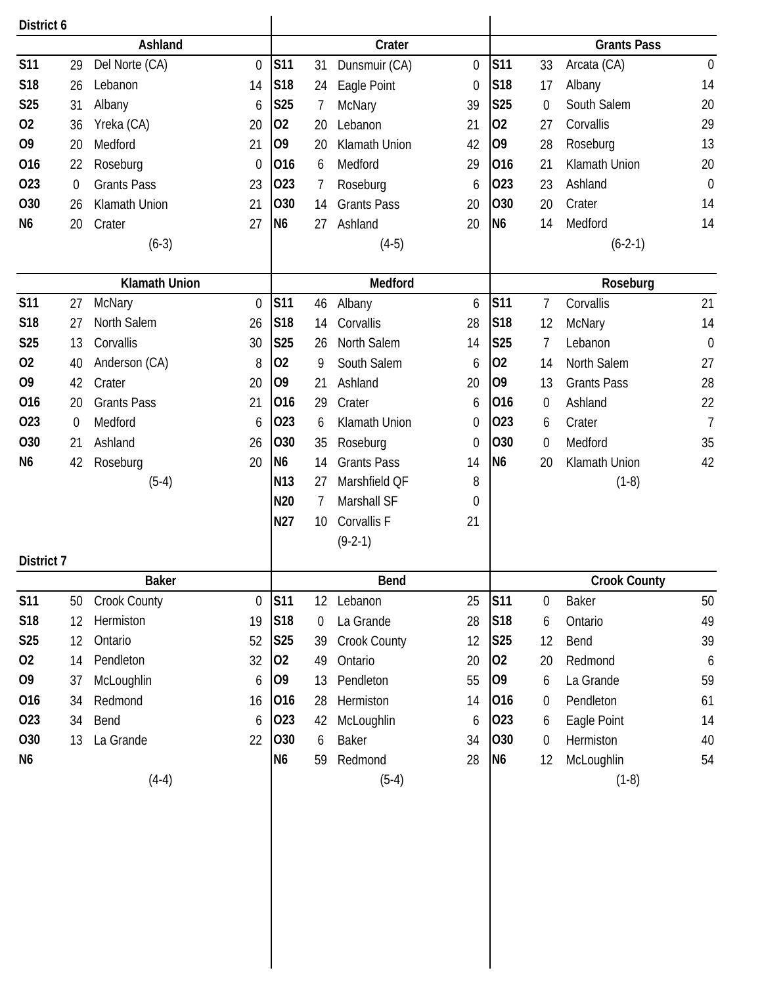| District 6        |          |                                  |                  |                               |                 |                    |                  |                |                  |                       |                  |
|-------------------|----------|----------------------------------|------------------|-------------------------------|-----------------|--------------------|------------------|----------------|------------------|-----------------------|------------------|
|                   |          | Ashland                          |                  |                               |                 | Crater             |                  |                |                  | <b>Grants Pass</b>    |                  |
| <b>S11</b>        | 29       | Del Norte (CA)                   | $\mathbf 0$      | <b>S11</b>                    | 31              | Dunsmuir (CA)      | $\mathbf 0$      | <b>S11</b>     | 33               | Arcata (CA)           | $\boldsymbol{0}$ |
| S18               | 26       | Lebanon                          | 14               | S18                           | 24              | Eagle Point        | $\boldsymbol{0}$ | S18            | 17               | Albany                | 14               |
| S25               | 31       | Albany                           | 6                | <b>S25</b>                    | 7               | <b>McNary</b>      | 39               | S25            | $\mathbf 0$      | South Salem           | 20               |
| 02                | 36       | Yreka (CA)                       | 20               | 02                            | 20              | Lebanon            | 21               | 02             | 27               | Corvallis             | 29               |
| O <sub>9</sub>    | 20       | Medford                          | 21               | 09                            | 20              | Klamath Union      | 42               | O <sub>9</sub> | 28               | Roseburg              | 13               |
| 016               | 22       | Roseburg                         | $\boldsymbol{0}$ | 016                           | 6               | Medford            | 29               | 016            | 21               | Klamath Union         | 20               |
| 023               | $\theta$ | <b>Grants Pass</b>               | 23               | 023                           | 7               | Roseburg           | 6                | 023            | 23               | Ashland               | $\boldsymbol{0}$ |
| 030               | 26       | Klamath Union                    | 21               | O30                           | 14              | <b>Grants Pass</b> | 20               | 030            | 20               | Crater                | 14               |
| N <sub>6</sub>    | 20       | Crater                           | 27               | N <sub>6</sub>                | 27              | Ashland            | 20               | N <sub>6</sub> | 14               | Medford               | 14               |
|                   |          | $(6-3)$                          |                  |                               |                 | $(4-5)$            |                  |                |                  | $(6-2-1)$             |                  |
|                   |          | <b>Klamath Union</b>             |                  |                               |                 | Medford            |                  |                |                  | Roseburg              |                  |
| <b>S11</b>        | 27       | McNary                           | $\theta$         | <b>S11</b>                    | 46              | Albany             | 6                | <b>S11</b>     | 7                | Corvallis             | 21               |
| S18               | 27       | North Salem                      | 26               | S18                           | 14              | Corvallis          | 28               | S18            | 12               | McNary                | 14               |
| <b>S25</b>        | 13       | Corvallis                        | 30               | <b>S25</b>                    | 26              | North Salem        | 14               | <b>S25</b>     | 7                | Lebanon               | $\mathbf 0$      |
| 02                | 40       | Anderson (CA)                    | 8                | 02                            | 9               | South Salem        | 6                | 02             | 14               | North Salem           | 27               |
| O <sub>9</sub>    | 42       | Crater                           | 20               | O <sub>9</sub>                | 21              | Ashland            | 20               | O <sub>9</sub> | 13               | <b>Grants Pass</b>    | 28               |
| 016               | 20       | <b>Grants Pass</b>               | 21               | 016                           | 29              | Crater             | 6                | 016            | $\boldsymbol{0}$ | Ashland               | 22               |
| 023               | $\theta$ | Medford                          | 6                | 023                           | 6               | Klamath Union      | 0                | 023            | 6                | Crater                | $\overline{1}$   |
| O <sub>30</sub>   | 21       | Ashland                          | 26               | 030                           | 35              | Roseburg           | $\mathbf 0$      | 030            | $\mathbf 0$      | Medford               | 35               |
| N <sub>6</sub>    | 42       | Roseburg                         | 20               | N <sub>6</sub>                | 14              | <b>Grants Pass</b> | 14               | N <sub>6</sub> | 20               | Klamath Union         | 42               |
|                   |          | $(5-4)$                          |                  | N <sub>13</sub>               | 27              | Marshfield QF      | 8                |                |                  | $(1-8)$               |                  |
|                   |          |                                  |                  | N20                           | 7               | Marshall SF        | $\mathbf 0$      |                |                  |                       |                  |
|                   |          |                                  |                  | N27                           | 10 <sup>°</sup> | Corvallis F        | 21               |                |                  |                       |                  |
|                   |          |                                  |                  |                               |                 | $(9-2-1)$          |                  |                |                  |                       |                  |
| District 7        |          |                                  |                  |                               |                 |                    |                  |                |                  |                       |                  |
|                   |          | <b>Baker</b>                     |                  |                               |                 | Bend               |                  |                |                  | <b>Crook County</b>   |                  |
| <b>S11</b><br>S18 | 50       | <b>Crook County</b><br>Hermiston | $\overline{0}$   | <b>S11</b><br>S <sub>18</sub> | 12              | Lebanon            | 25               | S11<br>S18     | 0                | Baker                 | 50               |
|                   | 12       | Ontario                          | 19               |                               | $\theta$        | La Grande          | 28               |                | 6                | Ontario               | 49               |
| S25               | 12       |                                  | 52               | <b>S25</b>                    | 39              | Crook County       | 12               | <b>S25</b>     | 12               | Bend                  | 39               |
| 02                | 14       | Pendleton                        | 32               | 02                            | 49              | Ontario            | 20               | 02             | 20               | Redmond               | 6                |
| O9                | 37       | McLoughlin                       | 6                | 09                            | 13              | Pendleton          | 55               | 09             | 6                | La Grande             | 59               |
| 016               | 34       | Redmond                          | 16               | 016                           | 28              | Hermiston          | 14               | 016            | $\boldsymbol{0}$ | Pendleton             | 61               |
| 023               | 34       | Bend                             | 6                | 023                           | 42              | McLoughlin         | 6                | 023<br>030     | 6                | Eagle Point           | 14               |
| 030<br>N6         | 13       | La Grande                        | 22               | 030<br>N <sub>6</sub>         | 6               | Baker              | 34               | N <sub>6</sub> | $\boldsymbol{0}$ | Hermiston             | 40               |
|                   |          |                                  |                  |                               | 59              | Redmond<br>$(5-4)$ | 28               |                | 12               | McLoughlin<br>$(1-8)$ | 54               |
|                   |          | $(4-4)$                          |                  |                               |                 |                    |                  |                |                  |                       |                  |
|                   |          |                                  |                  |                               |                 |                    |                  |                |                  |                       |                  |
|                   |          |                                  |                  |                               |                 |                    |                  |                |                  |                       |                  |
|                   |          |                                  |                  |                               |                 |                    |                  |                |                  |                       |                  |
|                   |          |                                  |                  |                               |                 |                    |                  |                |                  |                       |                  |
|                   |          |                                  |                  |                               |                 |                    |                  |                |                  |                       |                  |
|                   |          |                                  |                  |                               |                 |                    |                  |                |                  |                       |                  |
|                   |          |                                  |                  |                               |                 |                    |                  |                |                  |                       |                  |
|                   |          |                                  |                  |                               |                 |                    |                  |                |                  |                       |                  |
|                   |          |                                  |                  |                               |                 |                    |                  |                |                  |                       |                  |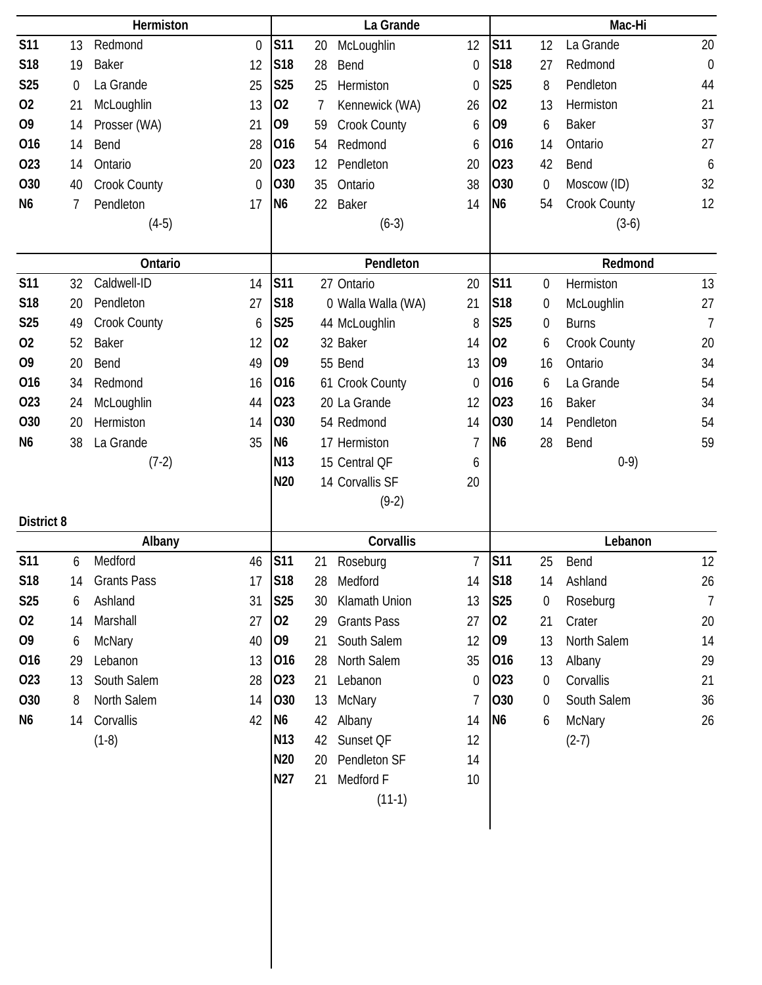|                       |             | Hermiston                |                  |                       |    | La Grande                       |                        |                       |                  | Mac-Hi                    |                |
|-----------------------|-------------|--------------------------|------------------|-----------------------|----|---------------------------------|------------------------|-----------------------|------------------|---------------------------|----------------|
| <b>S11</b>            | 13          | Redmond                  | $\mathbf 0$      | <b>S11</b>            | 20 | McLoughlin                      | 12                     | <b>S11</b>            | 12               | La Grande                 | 20             |
| S18                   | 19          | <b>Baker</b>             | 12               | <b>S18</b>            | 28 | Bend                            | $\mathbf 0$            | <b>S18</b>            | 27               | Redmond                   | $\mathbf 0$    |
| S <sub>25</sub>       | $\mathbf 0$ | La Grande                | 25               | <b>S25</b>            | 25 | Hermiston                       | 0                      | <b>S25</b>            | 8                | Pendleton                 | 44             |
| 02                    | 21          | McLoughlin               | 13               | 02                    | 7  | Kennewick (WA)                  | 26                     | 02                    | 13               | Hermiston                 | 21             |
| O <sub>9</sub>        | 14          | Prosser (WA)             | 21               | O <sub>9</sub>        | 59 | Crook County                    | 6                      | 09                    | 6                | <b>Baker</b>              | 37             |
| 016                   | 14          | Bend                     | 28               | 016                   | 54 | Redmond                         | 6                      | 016                   | 14               | Ontario                   | 27             |
| 023                   | 14          | Ontario                  | 20               | 023                   | 12 | Pendleton                       | 20                     | 023                   | 42               | Bend                      | 6              |
| O30                   | 40          | Crook County             | $\boldsymbol{0}$ | 030                   | 35 | Ontario                         | 38                     | <b>O30</b>            | $\boldsymbol{0}$ | Moscow (ID)               | 32             |
| N <sub>6</sub>        | 7           | Pendleton                | 17               | N <sub>6</sub>        | 22 | Baker                           | 14                     | N <sub>6</sub>        | 54               | Crook County              | 12             |
|                       |             | $(4-5)$                  |                  |                       |    | $(6-3)$                         |                        |                       |                  | $(3-6)$                   |                |
|                       |             |                          |                  |                       |    |                                 |                        |                       |                  |                           |                |
|                       |             | Ontario                  |                  | <b>S11</b>            |    | Pendleton                       |                        |                       |                  | Redmond                   |                |
| <b>S11</b>            | 32          | Caldwell-ID<br>Pendleton | 14               | S <sub>18</sub>       |    | 27 Ontario                      | 20                     | <b>S11</b>            | $\boldsymbol{0}$ | Hermiston                 | 13             |
| S18                   | 20          |                          | 27               |                       |    | 0 Walla Walla (WA)              | 21                     | S18                   | $\boldsymbol{0}$ | McLoughlin                | 27             |
| <b>S25</b>            | 49          | Crook County             | 6                | <b>S25</b>            |    | 44 McLoughlin                   | 8                      | <b>S25</b>            | $\boldsymbol{0}$ | <b>Burns</b>              | $\overline{1}$ |
| 02                    | 52          | <b>Baker</b>             | 12               | 02                    |    | 32 Baker<br>55 Bend             | 14                     | 02                    | 6                | Crook County              | 20             |
| O <sub>9</sub><br>016 | 20          | Bend                     | 49               | O <sub>9</sub><br>016 |    |                                 | 13                     | O <sub>9</sub><br>016 | 16               | Ontario                   | 34             |
| 023                   | 34          | Redmond                  | 16<br>44         | 023                   |    | 61 Crook County<br>20 La Grande | $\boldsymbol{0}$<br>12 | 023                   | 6                | La Grande<br><b>Baker</b> | 54<br>34       |
| O30                   | 24<br>20    | McLoughlin<br>Hermiston  |                  | 030                   |    | 54 Redmond                      | 14                     | 030                   | 16<br>14         | Pendleton                 | 54             |
| N <sub>6</sub>        | 38          | La Grande                | 14<br>35         | N <sub>6</sub>        |    | 17 Hermiston                    | 7                      | N <sub>6</sub>        | 28               | Bend                      | 59             |
|                       |             | $(7-2)$                  |                  | N <sub>13</sub>       |    | 15 Central QF                   | 6                      |                       |                  | $0-9)$                    |                |
|                       |             |                          |                  | N <sub>20</sub>       |    | 14 Corvallis SF                 | 20                     |                       |                  |                           |                |
|                       |             |                          |                  |                       |    | $(9-2)$                         |                        |                       |                  |                           |                |
| District 8            |             |                          |                  |                       |    |                                 |                        |                       |                  |                           |                |
|                       |             | Albany                   |                  |                       |    | Corvallis                       |                        |                       |                  | Lebanon                   |                |
| <b>S11</b>            | 6           | Medford                  | 46               | <b>S11</b>            | 21 | Roseburg                        | $\overline{7}$         | <b>S11</b>            | 25               | Bend                      | 12             |
| S18                   | 14          | <b>Grants Pass</b>       | 17               | <b>S18</b>            | 28 | Medford                         | 14                     | <b>S18</b>            | 14               | Ashland                   | 26             |
| <b>S25</b>            | 6           | Ashland                  | 31               | S25                   | 30 | Klamath Union                   | 13                     | S25                   | $\boldsymbol{0}$ | Roseburg                  | $\overline{7}$ |
| 02                    | 14          | Marshall                 | 27               | 02                    | 29 | <b>Grants Pass</b>              | 27                     | 02                    | 21               | Crater                    | 20             |
| 09                    | 6           | McNary                   | 40               | 09                    | 21 | South Salem                     | 12                     | O <sub>9</sub>        | 13               | North Salem               | 14             |
| 016                   | 29          | Lebanon                  | 13               | 016                   | 28 | North Salem                     | 35                     | 016                   | 13               | Albany                    | 29             |
| 023                   | 13          | South Salem              | 28               | 023                   | 21 | Lebanon                         | 0                      | 023                   | 0                | Corvallis                 | 21             |
| 030                   |             |                          |                  |                       |    |                                 |                        | 030                   |                  | South Salem               | 36             |
|                       | 8           | North Salem              | 14               | 030                   | 13 | McNary                          | 7                      |                       | $\overline{0}$   |                           |                |
| N6                    | 14          | Corvallis                | 42               | N <sub>6</sub>        | 42 | Albany                          | 14                     | N <sub>6</sub>        | 6                | McNary                    | 26             |
|                       |             | $(1-8)$                  |                  | N13                   | 42 | Sunset QF                       | 12                     |                       |                  | $(2-7)$                   |                |
|                       |             |                          |                  | N <sub>20</sub>       | 20 | Pendleton SF                    | 14                     |                       |                  |                           |                |
|                       |             |                          |                  | N27                   | 21 | Medford F                       | 10                     |                       |                  |                           |                |
|                       |             |                          |                  |                       |    | $(11-1)$                        |                        |                       |                  |                           |                |
|                       |             |                          |                  |                       |    |                                 |                        |                       |                  |                           |                |
|                       |             |                          |                  |                       |    |                                 |                        |                       |                  |                           |                |
|                       |             |                          |                  |                       |    |                                 |                        |                       |                  |                           |                |
|                       |             |                          |                  |                       |    |                                 |                        |                       |                  |                           |                |
|                       |             |                          |                  |                       |    |                                 |                        |                       |                  |                           |                |
|                       |             |                          |                  |                       |    |                                 |                        |                       |                  |                           |                |
|                       |             |                          |                  |                       |    |                                 |                        |                       |                  |                           |                |
|                       |             |                          |                  |                       |    |                                 |                        |                       |                  |                           |                |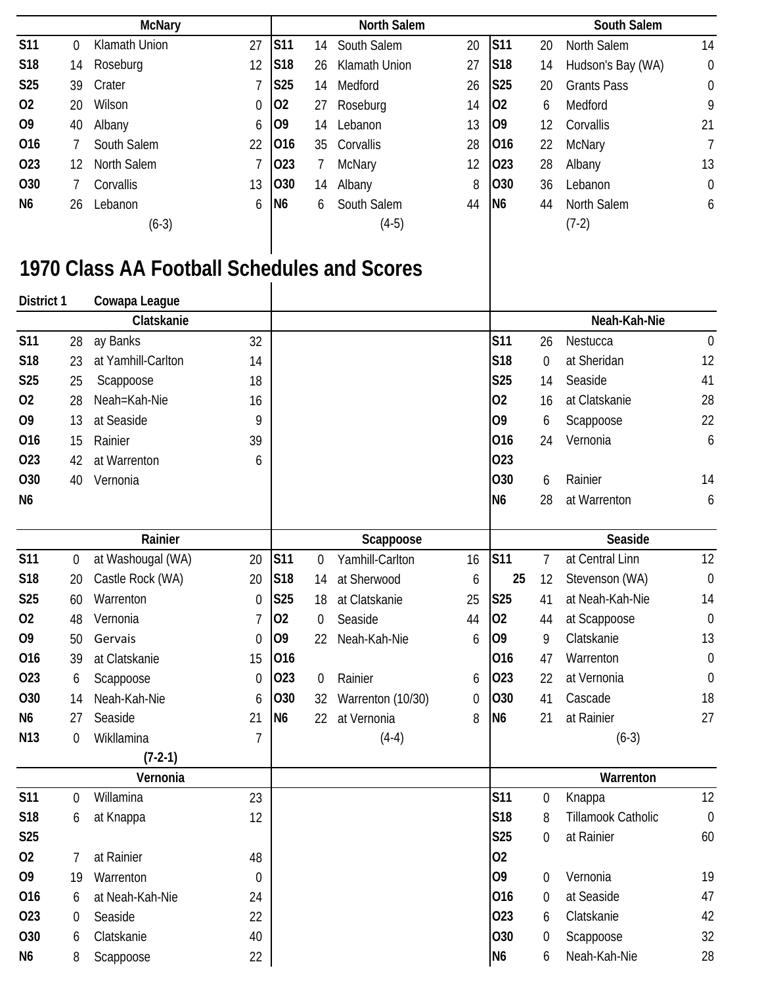|                 |     | <b>McNary</b>        |    |                |    | <b>North Salem</b> |    |                 |    | South Salem        |                |
|-----------------|-----|----------------------|----|----------------|----|--------------------|----|-----------------|----|--------------------|----------------|
| <b>S11</b>      | 0   | <b>Klamath Union</b> | 27 | S11            | 14 | South Salem        | 20 | S11             | 20 | North Salem        | 14             |
| <b>S18</b>      | 14  | Roseburg             | 12 | <b>S18</b>     | 26 | Klamath Union      | 27 | <b>S18</b>      | 14 | Hudson's Bay (WA)  | $\mathbf 0$    |
| S <sub>25</sub> | 39. | Crater               |    | <b>S25</b>     | 14 | Medford            | 26 | <b>S25</b>      | 20 | <b>Grants Pass</b> | $\mathbf 0$    |
| 02              | 20  | Wilson               | 0  | $ 02\rangle$   | 27 | Roseburg           | 14 | <b>O2</b>       | 6  | Medford            | 9              |
| O <sub>9</sub>  | 40  | Albany               | 6  | 109            | 14 | Lebanon            | 13 | 109             | 12 | Corvallis          | 21             |
| 016             |     | South Salem          | 22 | 016            | 35 | Corvallis          | 28 | 016             | 22 | <b>McNary</b>      | 7              |
| 023             | 12  | North Salem          |    | $ 023\rangle$  |    | McNary             | 12 | 023             | 28 | Albany             | 13             |
| O <sub>30</sub> |     | Corvallis            | 13 | <b>O30</b>     | 14 | Albany             | 8  | 030             | 36 | Lebanon            | $\overline{0}$ |
| N <sub>6</sub>  | 26  | Lebanon              | 6  | N <sub>6</sub> | 6  | South Salem        | 44 | IN <sub>6</sub> | 44 | <b>North Salem</b> | 6              |
|                 |     | $(6-3)$              |    |                |    | $(4-5)$            |    |                 |    | $(7-2)$            |                |

## **1970 Class AA Football Schedules and Scores**

| <b>District 1</b> |                  | Cowapa League      |                |                |                |                   |    |                |                  |                           |                  |
|-------------------|------------------|--------------------|----------------|----------------|----------------|-------------------|----|----------------|------------------|---------------------------|------------------|
|                   |                  | Clatskanie         |                |                |                |                   |    |                |                  | Neah-Kah-Nie              |                  |
| <b>S11</b>        | 28               | ay Banks           | 32             |                |                |                   |    | <b>S11</b>     | 26               | Nestucca                  | $\mathbf 0$      |
| S18               | 23               | at Yamhill-Carlton | 14             |                |                |                   |    | <b>S18</b>     | $\boldsymbol{0}$ | at Sheridan               | 12               |
| S25               | 25               | Scappoose          | 18             |                |                |                   |    | <b>S25</b>     | 14               | Seaside                   | 41               |
| 02                | 28               | Neah=Kah-Nie       | 16             |                |                |                   |    | 02             | 16               | at Clatskanie             | 28               |
| O <sub>9</sub>    | 13               | at Seaside         | 9              |                |                |                   |    | 09             | 6                | Scappoose                 | 22               |
| 016               | 15               | Rainier            | 39             |                |                |                   |    | 016            | 24               | Vernonia                  | 6                |
| 023               | 42               | at Warrenton       | 6              |                |                |                   |    | 023            |                  |                           |                  |
| 030               | 40               | Vernonia           |                |                |                |                   |    | <b>O30</b>     | 6                | Rainier                   | 14               |
| N <sub>6</sub>    |                  |                    |                |                |                |                   |    | N <sub>6</sub> | 28               | at Warrenton              | 6                |
|                   |                  | Rainier            |                |                |                | Scappoose         |    |                |                  | Seaside                   |                  |
| <b>S11</b>        | $\boldsymbol{0}$ | at Washougal (WA)  | 20             | <b>S11</b>     | 0              | Yamhill-Carlton   | 16 | <b>S11</b>     | 7                | at Central Linn           | 12               |
| <b>S18</b>        | 20               | Castle Rock (WA)   | 20             | S18            | 14             | at Sherwood       | 6  | 25             | 12               | Stevenson (WA)            | $\mathbf 0$      |
| <b>S25</b>        | 60               | Warrenton          | $\mathbf 0$    | <b>S25</b>     | 18             | at Clatskanie     | 25 | <b>S25</b>     | 41               | at Neah-Kah-Nie           | 14               |
| 02                | 48               | Vernonia           | 7              | 02             | 0              | Seaside           | 44 | 02             | 44               | at Scappoose              | $\mathbf 0$      |
| O <sub>9</sub>    | 50               | Gervais            | $\mathbf 0$    | O <sub>9</sub> | 22             | Neah-Kah-Nie      | 6  | O <sub>9</sub> | 9                | Clatskanie                | 13               |
| 016               | 39               | at Clatskanie      | 15             | 016            |                |                   |    | 016            | 47               | Warrenton                 | $\boldsymbol{0}$ |
| 023               | 6                | Scappoose          | 0              | 023            | $\overline{0}$ | Rainier           | 6  | 023            | 22               | at Vernonia               | $\boldsymbol{0}$ |
| 030               | 14               | Neah-Kah-Nie       | 6              | 030            | 32             | Warrenton (10/30) | 0  | 030            | 41               | Cascade                   | 18               |
| N <sub>6</sub>    | 27               | Seaside            | 21             | N <sub>6</sub> | 22             | at Vernonia       | 8  | N <sub>6</sub> | 21               | at Rainier                | 27               |
| N <sub>13</sub>   | $\mathbf 0$      | Wikllamina         | $\overline{1}$ |                |                | $(4-4)$           |    |                |                  | $(6-3)$                   |                  |
|                   |                  | $(7-2-1)$          |                |                |                |                   |    |                |                  |                           |                  |
|                   |                  | Vernonia           |                |                |                |                   |    |                |                  | Warrenton                 |                  |
| <b>S11</b>        | $\mathbf 0$      | Willamina          | 23             |                |                |                   |    | <b>S11</b>     | 0                | Knappa                    | 12               |
| S18               | 6                | at Knappa          | 12             |                |                |                   |    | <b>S18</b>     | 8                | <b>Tillamook Catholic</b> | $\mathbf 0$      |
| <b>S25</b>        |                  |                    |                |                |                |                   |    | <b>S25</b>     | $\boldsymbol{0}$ | at Rainier                | 60               |
| 02                |                  | at Rainier         | 48             |                |                |                   |    | 02             |                  |                           |                  |
| O <sub>9</sub>    | 19               | Warrenton          | $\overline{0}$ |                |                |                   |    | O <sub>9</sub> | $\mathbf 0$      | Vernonia                  | 19               |
| 016               | 6                | at Neah-Kah-Nie    | 24             |                |                |                   |    | 016            | $\mathbf 0$      | at Seaside                | 47               |
| 023               | $\overline{0}$   | Seaside            | 22             |                |                |                   |    | 023            | 6                | Clatskanie                | 42               |
| 030               | 6                | Clatskanie         | 40             |                |                |                   |    | 030            | 0                | Scappoose                 | 32               |
| N6                | 8                | Scappoose          | 22             |                |                |                   |    | N <sub>6</sub> | 6                | Neah-Kah-Nie              | 28               |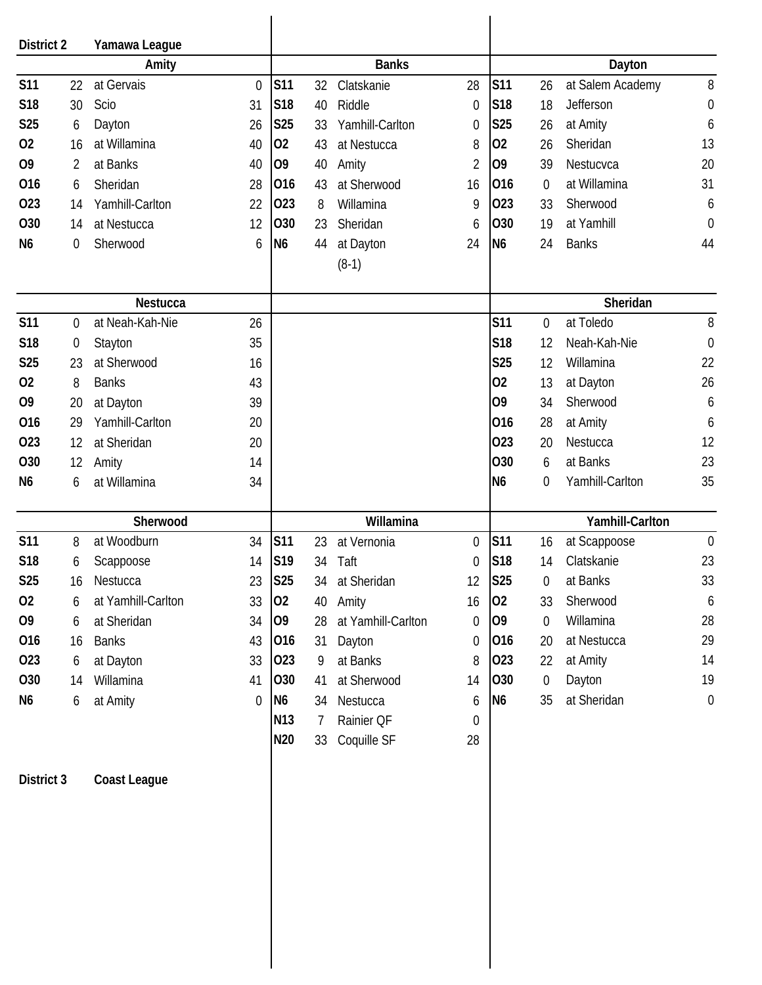| District 2      |                  | Yamawa League       |                |                 |    |                      |                  |                |                  |                  |                  |
|-----------------|------------------|---------------------|----------------|-----------------|----|----------------------|------------------|----------------|------------------|------------------|------------------|
|                 |                  | Amity               |                |                 |    | <b>Banks</b>         |                  |                |                  | Dayton           |                  |
| <b>S11</b>      | 22               | at Gervais          | $\theta$       | <b>S11</b>      | 32 | Clatskanie           | 28               | <b>S11</b>     | 26               | at Salem Academy | 8                |
| S18             | 30               | Scio                | 31             | S18             | 40 | Riddle               | $\mathbf 0$      | <b>S18</b>     | 18               | Jefferson        | $\mathbf 0$      |
| S <sub>25</sub> | 6                | Dayton              | 26             | <b>S25</b>      | 33 | Yamhill-Carlton      | 0                | <b>S25</b>     | 26               | at Amity         | 6                |
| 02              | 16               | at Willamina        | 40             | 02              | 43 | at Nestucca          | 8                | 02             | 26               | Sheridan         | 13               |
| O <sub>9</sub>  | $\overline{2}$   | at Banks            | 40             | O <sub>9</sub>  | 40 | Amity                | 2                | 09             | 39               | Nestucvca        | 20               |
| 016             | 6                | Sheridan            | 28             | 016             | 43 | at Sherwood          | 16               | 016            | $\mathbf 0$      | at Willamina     | 31               |
| 023             | 14               | Yamhill-Carlton     | 22             | 023             | 8  | Willamina            | 9                | 023            | 33               | Sherwood         | 6                |
| O30             | 14               | at Nestucca         | 12             | O30             | 23 | Sheridan             | 6                | O30            | 19               | at Yamhill       | $\mathbf 0$      |
| N <sub>6</sub>  | $\boldsymbol{0}$ | Sherwood            | 6              | N <sub>6</sub>  | 44 | at Dayton<br>$(8-1)$ | 24               | N <sub>6</sub> | 24               | <b>Banks</b>     | 44               |
|                 |                  |                     |                |                 |    |                      |                  |                |                  |                  |                  |
|                 |                  | Nestucca            |                |                 |    |                      |                  |                |                  | Sheridan         |                  |
| <b>S11</b>      | $\boldsymbol{0}$ | at Neah-Kah-Nie     | 26             |                 |    |                      |                  | <b>S11</b>     | $\boldsymbol{0}$ | at Toledo        | 8                |
| S18             | $\mathbf 0$      | Stayton             | 35             |                 |    |                      |                  | <b>S18</b>     | 12               | Neah-Kah-Nie     | $\mathbf 0$      |
| <b>S25</b>      | 23               | at Sherwood         | 16             |                 |    |                      |                  | <b>S25</b>     | 12               | Willamina        | 22               |
| 02              | 8                | <b>Banks</b>        | 43             |                 |    |                      |                  | 02             | 13               | at Dayton        | 26               |
| O <sub>9</sub>  | 20               | at Dayton           | 39             |                 |    |                      |                  | 09             | 34               | Sherwood         | 6                |
| 016             | 29               | Yamhill-Carlton     | 20             |                 |    |                      |                  | 016            | 28               | at Amity         | 6                |
| 023             | 12               | at Sheridan         | 20             |                 |    |                      |                  | 023            | 20               | Nestucca         | 12               |
| O30             | 12               | Amity               | 14             |                 |    |                      |                  | O30            | 6                | at Banks         | 23               |
| N <sub>6</sub>  | 6                | at Willamina        | 34             |                 |    |                      |                  | N <sub>6</sub> | 0                | Yamhill-Carlton  | 35               |
|                 |                  | Sherwood            |                |                 |    | Willamina            |                  |                |                  | Yamhill-Carlton  |                  |
| <b>S11</b>      | 8                | at Woodburn         | 34             | <b>S11</b>      | 23 | at Vernonia          | $\mathbf 0$      | <b>S11</b>     | 16               | at Scappoose     | $\mathbf 0$      |
| S18             | 6                | Scappoose           | 14             | S19             | 34 | Taft                 | 0                | <b>S18</b>     | 14               | Clatskanie       | 23               |
| <b>S25</b>      | 16               | Nestucca            | 23             | <b>S25</b>      | 34 | at Sheridan          | 12               | <b>S25</b>     | 0                | at Banks         | 33               |
| 02              | 6                | at Yamhill-Carlton  | 33             | 02              | 40 | Amity                | 16               | 02             | 33               | Sherwood         | $\boldsymbol{6}$ |
| O <sub>9</sub>  | 6                | at Sheridan         | 34             | 09              | 28 | at Yamhill-Carlton   | 0                | O <sub>9</sub> | $\mathbf 0$      | Willamina        | 28               |
| 016             | 16               | <b>Banks</b>        | 43             | 016             | 31 | Dayton               | 0                | 016            | 20               | at Nestucca      | 29               |
| 023             | 6                | at Dayton           | 33             | 023             | 9  | at Banks             | 8                | 023            | 22               | at Amity         | 14               |
| O30             | 14               | Willamina           | 41             | 030             | 41 | at Sherwood          | 14               | 030            | $\boldsymbol{0}$ | Dayton           | 19               |
| N <sub>6</sub>  | 6                | at Amity            | $\overline{0}$ | N <sub>6</sub>  | 34 | Nestucca             | 6                | N <sub>6</sub> | 35               | at Sheridan      | $\mathbf 0$      |
|                 |                  |                     |                | N <sub>13</sub> | 7  | Rainier QF           | $\boldsymbol{0}$ |                |                  |                  |                  |
|                 |                  |                     |                | N20             | 33 | Coquille SF          | 28               |                |                  |                  |                  |
| District 3      |                  | <b>Coast League</b> |                |                 |    |                      |                  |                |                  |                  |                  |
|                 |                  |                     |                |                 |    |                      |                  |                |                  |                  |                  |
|                 |                  |                     |                |                 |    |                      |                  |                |                  |                  |                  |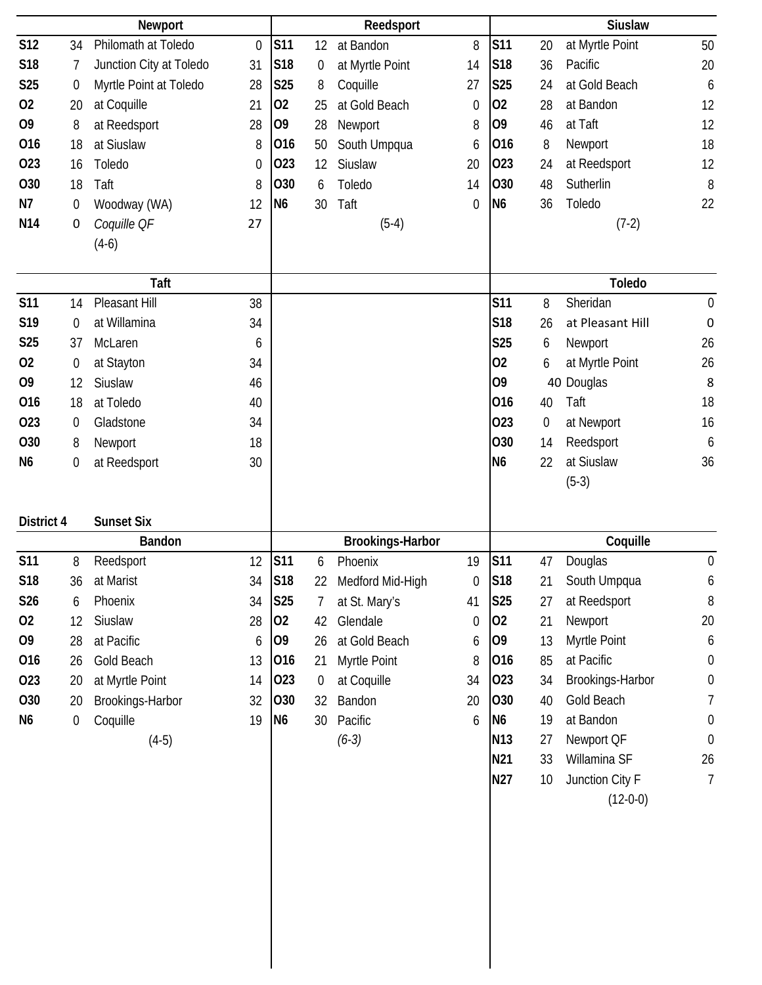|                 |                  | Newport                 |                  |                |                  | Reedsport               |                  |                 |    | <b>Siuslaw</b>   |                  |
|-----------------|------------------|-------------------------|------------------|----------------|------------------|-------------------------|------------------|-----------------|----|------------------|------------------|
| <b>S12</b>      | 34               | Philomath at Toledo     | $\mathbf 0$      | <b>S11</b>     | 12               | at Bandon               | 8                | <b>S11</b>      | 20 | at Myrtle Point  | 50               |
| S18             | 7                | Junction City at Toledo | 31               | S18            | 0                | at Myrtle Point         | 14               | <b>S18</b>      | 36 | Pacific          | 20               |
| <b>S25</b>      | $\mathbf 0$      | Myrtle Point at Toledo  | 28               | <b>S25</b>     | 8                | Coquille                | 27               | <b>S25</b>      | 24 | at Gold Beach    | 6                |
| 02              | 20               | at Coquille             | 21               | 02             | 25               | at Gold Beach           | 0                | 02              | 28 | at Bandon        | 12               |
| O <sub>9</sub>  | 8                | at Reedsport            | 28               | O <sub>9</sub> | 28               | Newport                 | 8                | O <sub>9</sub>  | 46 | at Taft          | 12               |
| 016             | 18               | at Siuslaw              | 8                | 016            | 50               | South Umpqua            | 6                | 016             | 8  | Newport          | 18               |
| 023             | 16               | Toledo                  | $\boldsymbol{0}$ | 023            | 12               | Siuslaw                 | 20               | 023             | 24 | at Reedsport     | 12               |
| O30             | 18               | Taft                    | 8                | 030            | 6                | Toledo                  | 14               | 030             | 48 | Sutherlin        | 8                |
| N7              | $\boldsymbol{0}$ | Woodway (WA)            | 12               | N <sub>6</sub> | 30               | Taft                    | $\boldsymbol{0}$ | N <sub>6</sub>  | 36 | Toledo           | 22               |
| N <sub>14</sub> | 0                | Coquille OF             | 27               |                |                  | $(5-4)$                 |                  |                 |    | $(7-2)$          |                  |
|                 |                  | $(4-6)$                 |                  |                |                  |                         |                  |                 |    |                  |                  |
|                 |                  |                         |                  |                |                  |                         |                  |                 |    |                  |                  |
|                 |                  | Taft                    |                  |                |                  |                         |                  |                 |    | <b>Toledo</b>    |                  |
| <b>S11</b>      | 14               | Pleasant Hill           | 38               |                |                  |                         |                  | S11             | 8  | Sheridan         | $\boldsymbol{0}$ |
| S19             | $\mathbf 0$      | at Willamina            | 34               |                |                  |                         |                  | S18             | 26 | at Pleasant Hill | $\pmb{0}$        |
| <b>S25</b>      | 37               | McLaren                 | 6                |                |                  |                         |                  | S25             | 6  | Newport          | 26               |
| 02              | $\boldsymbol{0}$ | at Stayton              | 34               |                |                  |                         |                  | 02              | 6  | at Myrtle Point  | 26               |
| O <sub>9</sub>  | 12               | Siuslaw                 | 46               |                |                  |                         |                  | 09              |    | 40 Douglas       | 8                |
| 016             | 18               | at Toledo               | 40               |                |                  |                         |                  | 016             | 40 | Taft             | 18               |
| 023             | 0                | Gladstone               | 34               |                |                  |                         |                  | 023             | 0  | at Newport       | 16               |
| 030             | 8                | Newport                 | 18               |                |                  |                         |                  | O30             | 14 | Reedsport        | 6                |
| N <sub>6</sub>  | $\boldsymbol{0}$ | at Reedsport            | 30               |                |                  |                         |                  | N <sub>6</sub>  | 22 | at Siuslaw       | 36               |
|                 |                  |                         |                  |                |                  |                         |                  |                 |    | $(5-3)$          |                  |
| District 4      |                  | <b>Sunset Six</b>       |                  |                |                  |                         |                  |                 |    |                  |                  |
|                 |                  | <b>Bandon</b>           |                  |                |                  | <b>Brookings-Harbor</b> |                  |                 |    | Coquille         |                  |
| <b>S11</b>      | 8                | Reedsport               | 12               | <b>S11</b>     | 6                | Phoenix                 | 19               | <b>S11</b>      | 47 | Douglas          | $\mathbf 0$      |
| S18             | 36               | at Marist               | 34               | <b>S18</b>     | 22               | Medford Mid-High        | 0                | S18             | 21 | South Umpqua     | 6                |
| S26             | 6                | Phoenix                 | 34               | <b>S25</b>     | 7                | at St. Mary's           | 41               | <b>S25</b>      | 27 | at Reedsport     | 8                |
| 02              | 12               | Siuslaw                 | 28               | 02             | 42               | Glendale                | $\mathbf 0$      | 02              | 21 | Newport          | 20               |
| 09              | 28               | at Pacific              | 6                | 09             | 26               | at Gold Beach           | 6                | O <sub>9</sub>  | 13 | Myrtle Point     | 6                |
| 016             | 26               | Gold Beach              | 13               | 016            | 21               | Myrtle Point            | 8                | 016             | 85 | at Pacific       | $\boldsymbol{0}$ |
| 023             | 20               | at Myrtle Point         | 14               | 023            | $\boldsymbol{0}$ | at Coquille             | 34               | 023             | 34 | Brookings-Harbor | $\boldsymbol{0}$ |
| O30             | 20               | Brookings-Harbor        | 32               | 030            | 32               | Bandon                  | 20               | 030             | 40 | Gold Beach       | 7                |
| N <sub>6</sub>  | 0                | Coquille                | 19               | N <sub>6</sub> | 30               | Pacific                 | 6                | N <sub>6</sub>  | 19 | at Bandon        | $\boldsymbol{0}$ |
|                 |                  | $(4-5)$                 |                  |                |                  | $(6-3)$                 |                  | N <sub>13</sub> | 27 | Newport QF       | $\boldsymbol{0}$ |
|                 |                  |                         |                  |                |                  |                         |                  | N21             | 33 | Willamina SF     | 26               |
|                 |                  |                         |                  |                |                  |                         |                  | N27             | 10 | Junction City F  | $\overline{7}$   |
|                 |                  |                         |                  |                |                  |                         |                  |                 |    | $(12-0-0)$       |                  |
|                 |                  |                         |                  |                |                  |                         |                  |                 |    |                  |                  |
|                 |                  |                         |                  |                |                  |                         |                  |                 |    |                  |                  |
|                 |                  |                         |                  |                |                  |                         |                  |                 |    |                  |                  |
|                 |                  |                         |                  |                |                  |                         |                  |                 |    |                  |                  |
|                 |                  |                         |                  |                |                  |                         |                  |                 |    |                  |                  |
|                 |                  |                         |                  |                |                  |                         |                  |                 |    |                  |                  |
|                 |                  |                         |                  |                |                  |                         |                  |                 |    |                  |                  |
|                 |                  |                         |                  |                |                  |                         |                  |                 |    |                  |                  |
|                 |                  |                         |                  |                |                  |                         |                  |                 |    |                  |                  |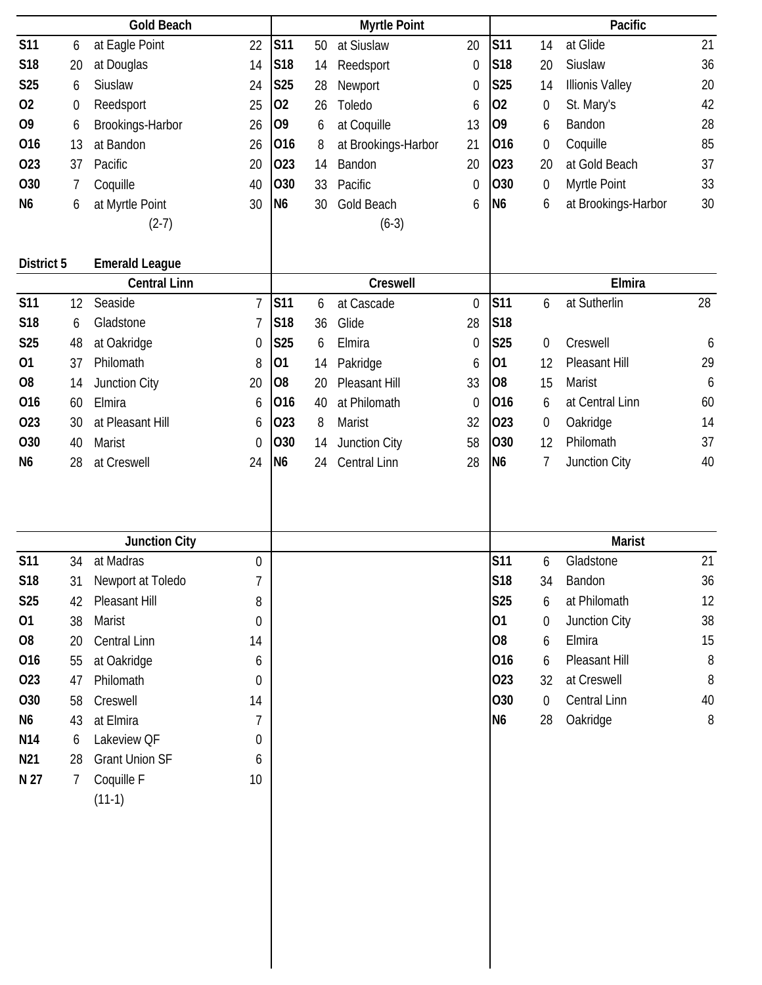| <b>Gold Beach</b> |                  |                       |                  | <b>Myrtle Point</b> |    |                     |                  | Pacific         |                  |                        |       |
|-------------------|------------------|-----------------------|------------------|---------------------|----|---------------------|------------------|-----------------|------------------|------------------------|-------|
| <b>S11</b>        | 6                | at Eagle Point        | 22               | <b>S11</b>          | 50 | at Siuslaw          | 20               | <b>S11</b>      | 14               | at Glide               | 21    |
| S18               | 20               | at Douglas            | 14               | S18                 | 14 | Reedsport           | $\boldsymbol{0}$ | <b>S18</b>      | 20               | Siuslaw                | 36    |
| <b>S25</b>        | 6                | Siuslaw               | 24               | <b>S25</b>          | 28 | Newport             | 0                | <b>S25</b>      | 14               | <b>Illionis Valley</b> | 20    |
| 02                | $\boldsymbol{0}$ | Reedsport             | 25               | 02                  | 26 | Toledo              | 6                | 02              | $\boldsymbol{0}$ | St. Mary's             | 42    |
| O <sub>9</sub>    | 6                | Brookings-Harbor      | 26               | O <sub>9</sub>      | 6  | at Coquille         | 13               | 09              | 6                | Bandon                 | 28    |
| 016               | 13               | at Bandon             | 26               | 016                 | 8  | at Brookings-Harbor | 21               | 016             | $\boldsymbol{0}$ | Coquille               | 85    |
| 023               | 37               | Pacific               | 20               | 023                 | 14 | Bandon              | 20               | 023             | 20               | at Gold Beach          | 37    |
| O30               | 7                | Coquille              | 40               | 030                 | 33 | Pacific             | $\boldsymbol{0}$ | 030             | $\boldsymbol{0}$ | Myrtle Point           | 33    |
| N <sub>6</sub>    | 6                | at Myrtle Point       | 30               | N <sub>6</sub>      | 30 | Gold Beach          | 6                | N <sub>6</sub>  | 6                | at Brookings-Harbor    | 30    |
|                   |                  | $(2-7)$               |                  |                     |    | $(6-3)$             |                  |                 |                  |                        |       |
|                   |                  |                       |                  |                     |    |                     |                  |                 |                  |                        |       |
| District 5        |                  | <b>Emerald League</b> |                  |                     |    |                     |                  |                 |                  |                        |       |
|                   |                  | <b>Central Linn</b>   |                  |                     |    | Creswell            |                  |                 |                  | Elmira                 |       |
| <b>S11</b>        | 12               | Seaside               | 7                | <b>S11</b>          | 6  | at Cascade          | $\boldsymbol{0}$ | <b>S11</b>      | 6                | at Sutherlin           | 28    |
| S <sub>18</sub>   | 6                | Gladstone             |                  | S18                 | 36 | Glide               | 28               | S <sub>18</sub> |                  |                        |       |
| <b>S25</b>        | 48               | at Oakridge           | $\boldsymbol{0}$ | <b>S25</b>          | 6  | Elmira              | $\boldsymbol{0}$ | <b>S25</b>      | $\mathbf 0$      | Creswell               | 6     |
| 01                | 37               | Philomath             | 8                | 01                  | 14 | Pakridge            | 6                | 01              | 12               | Pleasant Hill          | 29    |
| O <sub>8</sub>    | 14               | Junction City         | 20               | O <sub>8</sub>      | 20 | Pleasant Hill       | 33               | O <sub>8</sub>  | 15               | Marist                 | 6     |
| 016               | 60               | Elmira                | 6                | 016                 | 40 | at Philomath        | $\boldsymbol{0}$ | 016             | 6                | at Central Linn        | 60    |
| 023               | 30               | at Pleasant Hill      | 6                | 023                 | 8  | Marist              | 32               | 023             | $\boldsymbol{0}$ | Oakridge               | 14    |
| O <sub>30</sub>   | 40               | Marist                | $\boldsymbol{0}$ | 030                 | 14 | Junction City       | 58               | O30             | 12               | Philomath              | 37    |
| N <sub>6</sub>    | 28               | at Creswell           | 24               | N <sub>6</sub>      | 24 | <b>Central Linn</b> | 28               | N <sub>6</sub>  | 7                | Junction City          | 40    |
|                   |                  |                       |                  |                     |    |                     |                  |                 |                  |                        |       |
|                   |                  | <b>Junction City</b>  |                  |                     |    |                     |                  |                 |                  | <b>Marist</b>          |       |
| <b>S11</b>        | 34               | at Madras             | 0                |                     |    |                     |                  | <b>S11</b>      | 6                | Gladstone              | 21    |
| S18               | 31               | Newport at Toledo     | 7                |                     |    |                     |                  | <b>S18</b>      | 34               | Bandon                 | 36    |
| S <sub>25</sub>   | 42               | Pleasant Hill         | 8                |                     |    |                     |                  | S25             | 6                | at Philomath           | 12    |
| 01                | 38               | Marist                | 0                |                     |    |                     |                  | 01              | $\boldsymbol{0}$ | Junction City          | 38    |
| O <sub>8</sub>    | 20               | Central Linn          | 14               |                     |    |                     |                  | O8              | 6                | Elmira                 | 15    |
| 016               | 55               | at Oakridge           | 6                |                     |    |                     |                  | 016             | 6                | Pleasant Hill          | $8\,$ |
| 023               | 47               | Philomath             | 0                |                     |    |                     |                  | 023             | 32               | at Creswell            | 8     |
| 030               | 58               | Creswell              | 14               |                     |    |                     |                  | 030             | $\boldsymbol{0}$ | Central Linn           | 40    |
| N <sub>6</sub>    | 43               | at Elmira             | 7                |                     |    |                     |                  | N <sub>6</sub>  | 28               | Oakridge               | 8     |
| N14               | 6                | Lakeview QF           | 0                |                     |    |                     |                  |                 |                  |                        |       |
| N <sub>21</sub>   | 28               | <b>Grant Union SF</b> | 6                |                     |    |                     |                  |                 |                  |                        |       |
| N 27              | 7                | Coquille F            | 10               |                     |    |                     |                  |                 |                  |                        |       |
|                   |                  | $(11-1)$              |                  |                     |    |                     |                  |                 |                  |                        |       |
|                   |                  |                       |                  |                     |    |                     |                  |                 |                  |                        |       |
|                   |                  |                       |                  |                     |    |                     |                  |                 |                  |                        |       |
|                   |                  |                       |                  |                     |    |                     |                  |                 |                  |                        |       |
|                   |                  |                       |                  |                     |    |                     |                  |                 |                  |                        |       |
|                   |                  |                       |                  |                     |    |                     |                  |                 |                  |                        |       |
|                   |                  |                       |                  |                     |    |                     |                  |                 |                  |                        |       |
|                   |                  |                       |                  |                     |    |                     |                  |                 |                  |                        |       |
|                   |                  |                       |                  |                     |    |                     |                  |                 |                  |                        |       |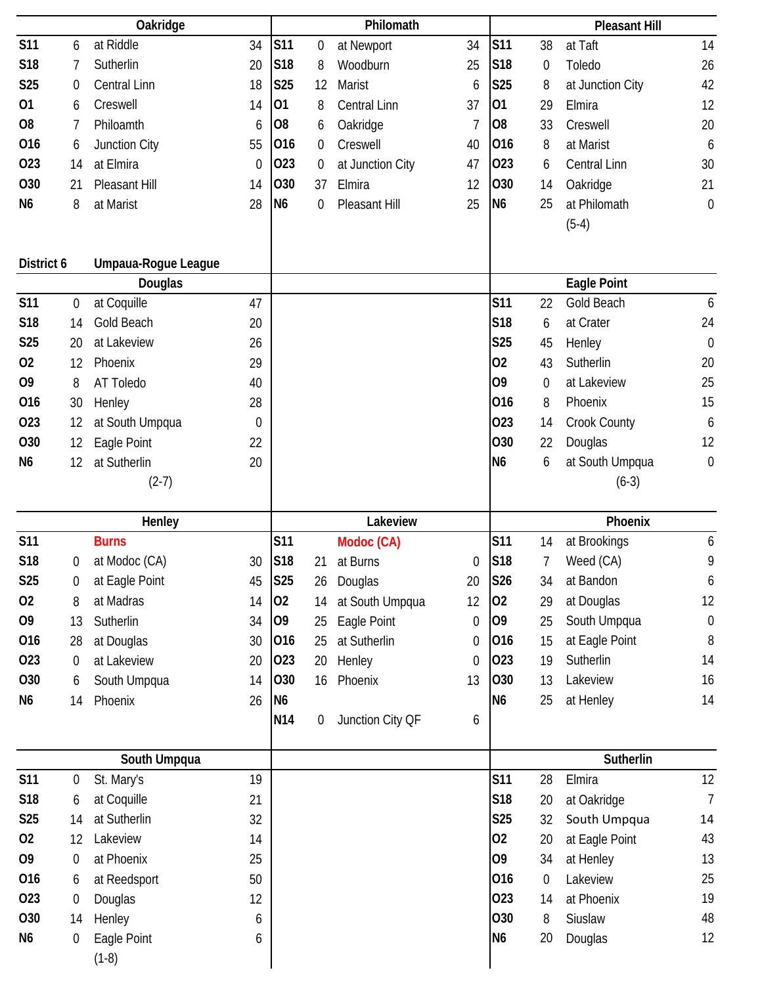|                 | Oakridge         |                     |             | Philomath       |                  |                  |    | <b>Pleasant Hill</b> |                  |                     |                  |
|-----------------|------------------|---------------------|-------------|-----------------|------------------|------------------|----|----------------------|------------------|---------------------|------------------|
| <b>S11</b>      | 6                | at Riddle           | 34          | <b>S11</b>      | $\boldsymbol{0}$ | at Newport       | 34 | <b>S11</b>           | 38               | at Taft             | 14               |
| S18             | 7                | Sutherlin           | 20          | S <sub>18</sub> | 8                | Woodburn         | 25 | S <sub>18</sub>      | $\boldsymbol{0}$ | Toledo              | 26               |
| <b>S25</b>      | $\mathbf 0$      | Central Linn        | 18          | <b>S25</b>      | 12               | <b>Marist</b>    | 6  | <b>S25</b>           | 8                | at Junction City    | 42               |
| 01              | 6                | Creswell            | 14          | 01              | 8                | Central Linn     | 37 | 01                   | 29               | Elmira              | 12               |
| O <sub>8</sub>  | 7                | Philoamth           | 6           | O <sub>8</sub>  | 6                | Oakridge         | 7  | O <sub>8</sub>       | 33               | Creswell            | 20               |
| 016             | 6                | Junction City       | 55          | 016             | 0                | Creswell         | 40 | 016                  | 8                | at Marist           | 6                |
| 023             | 14               | at Elmira           | 0           | 023             | 0                | at Junction City | 47 | 023                  | 6                | <b>Central Linn</b> | 30               |
| <b>O30</b>      | 21               | Pleasant Hill       | 14          | 030             | 37               | Elmira           | 12 | 030                  | 14               | Oakridge            | 21               |
| N <sub>6</sub>  | 8                | at Marist           | 28          | N <sub>6</sub>  | 0                | Pleasant Hill    | 25 | N <sub>6</sub>       | 25               | at Philomath        | $\mathbf 0$      |
|                 |                  |                     |             |                 |                  |                  |    |                      |                  | $(5-4)$             |                  |
|                 |                  |                     |             |                 |                  |                  |    |                      |                  |                     |                  |
| District 6      |                  | Umpaua-Rogue League |             |                 |                  |                  |    |                      |                  |                     |                  |
|                 |                  | Douglas             |             |                 |                  |                  |    |                      |                  | Eagle Point         |                  |
| <b>S11</b>      | 0                | at Coquille         | 47          |                 |                  |                  |    | S11                  | 22               | <b>Gold Beach</b>   | 6                |
| <b>S18</b>      | 14               | Gold Beach          | 20          |                 |                  |                  |    | S18                  | 6                | at Crater           | 24               |
| <b>S25</b>      | 20               | at Lakeview         | 26          |                 |                  |                  |    | S25                  | 45               | Henley              | $\mathbf 0$      |
| 02              | 12               | Phoenix             | 29          |                 |                  |                  |    | 02                   | 43               | Sutherlin           | 20               |
| O <sub>9</sub>  | 8                | AT Toledo           | 40          |                 |                  |                  |    | 09                   | $\mathbf 0$      | at Lakeview         | 25               |
| 016             | 30               | Henley              | 28          |                 |                  |                  |    | 016                  | 8                | Phoenix             | 15               |
| 023             | 12               | at South Umpqua     | $\mathbf 0$ |                 |                  |                  |    | 023                  | 14               | Crook County        | 6                |
| O30             | 12               | Eagle Point         | 22          |                 |                  |                  |    | O30                  | 22               | Douglas             | 12               |
| N <sub>6</sub>  | 12               | at Sutherlin        | 20          |                 |                  |                  |    | N <sub>6</sub>       | 6                | at South Umpqua     | $\mathbf 0$      |
|                 |                  | $(2-7)$             |             |                 |                  |                  |    |                      |                  | $(6-3)$             |                  |
|                 |                  |                     |             |                 |                  |                  |    |                      |                  |                     |                  |
|                 |                  | Henley              |             |                 |                  | Lakeview         |    |                      |                  | Phoenix             |                  |
| <b>S11</b>      |                  | <b>Burns</b>        |             | S11             |                  | Modoc (CA)       |    | S11                  | 14               | at Brookings        | 6                |
| S <sub>18</sub> | $\boldsymbol{0}$ | at Modoc (CA)       | 30          | S <sub>18</sub> | 21               | at Burns         | 0  | S18                  | 7                | Weed (CA)           | 9                |
| <b>S25</b>      | 0                | at Eagle Point      | 45          | <b>S25</b>      | 26               | Douglas          | 20 | S26                  | 34               | at Bandon           | 6                |
| 02              | 8                | at Madras           | 14          | 02              | 14               | at South Umpqua  | 12 | 02                   | 29               | at Douglas          | 12               |
| O <sub>9</sub>  | 13               | Sutherlin           | 34          | 09              | 25               | Eagle Point      | 0  | O <sub>9</sub>       | 25               | South Umpqua        | $\boldsymbol{0}$ |
| 016             | 28               | at Douglas          | 30          | 016             | 25               | at Sutherlin     | 0  | 016                  | 15               | at Eagle Point      | 8                |
| 023             | $\mathbf 0$      | at Lakeview         | 20          | 023             | 20               | Henley           | 0  | 023                  | 19               | Sutherlin           | 14               |
| O30             | 6                | South Umpqua        | 14          | 030             | 16               | Phoenix          | 13 | 030                  | 13               | Lakeview            | 16               |
| N <sub>6</sub>  | 14               | Phoenix             | 26          | N <sub>6</sub>  |                  |                  |    | N <sub>6</sub>       | 25               | at Henley           | 14               |
|                 |                  |                     |             | N14             | 0                | Junction City QF | 6  |                      |                  |                     |                  |
|                 |                  | South Umpqua        |             |                 |                  |                  |    |                      |                  | Sutherlin           |                  |
| <b>S11</b>      | $\boldsymbol{0}$ | St. Mary's          | 19          |                 |                  |                  |    | S11                  | 28               | Elmira              | 12               |
| S18             | 6                | at Coquille         | 21          |                 |                  |                  |    | <b>S18</b>           | 20               | at Oakridge         | $\overline{1}$   |
| <b>S25</b>      | 14               | at Sutherlin        | 32          |                 |                  |                  |    | <b>S25</b>           | 32               | South Umpqua        | 14               |
| 02              | 12               | Lakeview            | 14          |                 |                  |                  |    | 02                   | 20               | at Eagle Point      | 43               |
| O <sub>9</sub>  | $\boldsymbol{0}$ | at Phoenix          | 25          |                 |                  |                  |    | 09                   | 34               | at Henley           | 13               |
| 016             | 6                | at Reedsport        | 50          |                 |                  |                  |    | 016                  | $\boldsymbol{0}$ | Lakeview            | 25               |
| 023             | $\mathbf 0$      | Douglas             | 12          |                 |                  |                  |    | 023                  | 14               | at Phoenix          | 19               |
| O30             | 14               | Henley              | 6           |                 |                  |                  |    | 030                  | 8                | Siuslaw             | 48               |
| N <sub>6</sub>  | $\boldsymbol{0}$ | Eagle Point         | 6           |                 |                  |                  |    | N <sub>6</sub>       | 20               | Douglas             | 12               |
|                 |                  | $(1-8)$             |             |                 |                  |                  |    |                      |                  |                     |                  |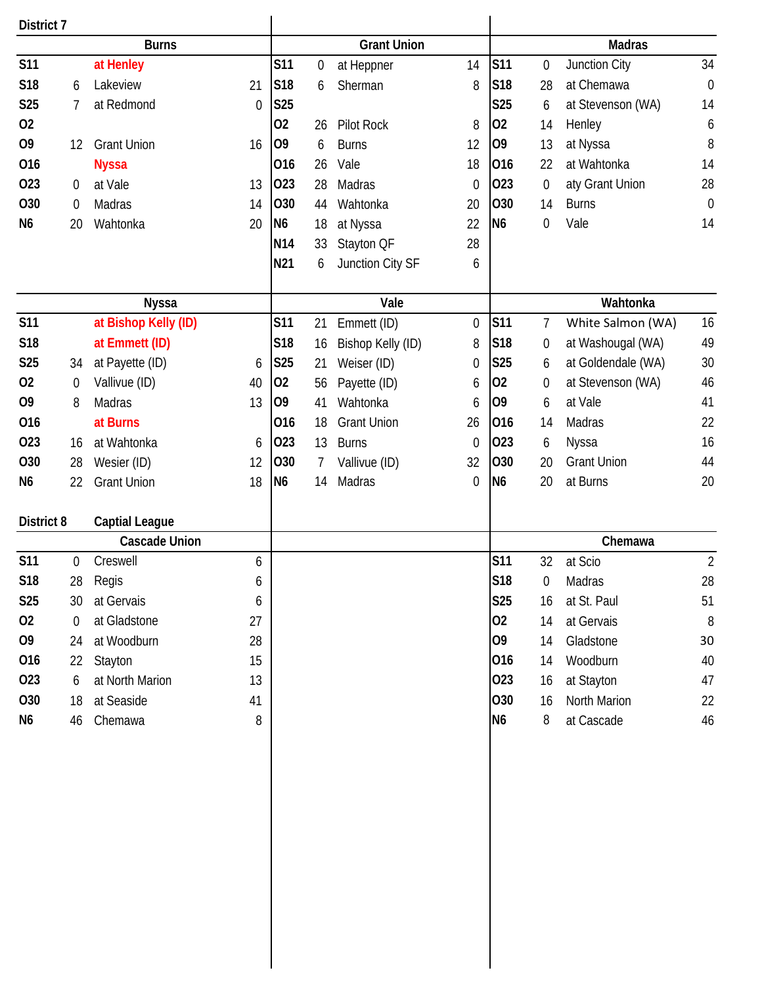| District 7     |             |                       |                  |                    |             |                    |                  |                |                  |                    |                  |
|----------------|-------------|-----------------------|------------------|--------------------|-------------|--------------------|------------------|----------------|------------------|--------------------|------------------|
| <b>Burns</b>   |             |                       |                  | <b>Grant Union</b> |             |                    |                  | <b>Madras</b>  |                  |                    |                  |
| <b>S11</b>     |             | at Henley             |                  | <b>S11</b>         | $\mathbf 0$ | at Heppner         | 14               | <b>S11</b>     | $\mathbf 0$      | Junction City      | 34               |
| S18            | 6           | Lakeview              | 21               | S <sub>18</sub>    | 6           | Sherman            | 8                | <b>S18</b>     | 28               | at Chemawa         | $\boldsymbol{0}$ |
| <b>S25</b>     | 7           | at Redmond            | $\boldsymbol{0}$ | S25                |             |                    |                  | <b>S25</b>     | 6                | at Stevenson (WA)  | 14               |
| 02             |             |                       |                  | 02                 | 26          | <b>Pilot Rock</b>  | 8                | 02             | 14               | Henley             | 6                |
| O <sub>9</sub> | 12          | <b>Grant Union</b>    | 16               | O <sub>9</sub>     | 6           | <b>Burns</b>       | 12               | 09             | 13               | at Nyssa           | 8                |
| 016            |             | <b>Nyssa</b>          |                  | 016                | 26          | Vale               | 18               | 016            | 22               | at Wahtonka        | 14               |
| 023            | $\theta$    | at Vale               | 13               | 023                | 28          | Madras             | $\boldsymbol{0}$ | 023            | $\boldsymbol{0}$ | aty Grant Union    | 28               |
| 030            | $\mathbf 0$ | Madras                | 14               | <b>O30</b>         | 44          | Wahtonka           | 20               | <b>O30</b>     | 14               | <b>Burns</b>       | $\boldsymbol{0}$ |
| N <sub>6</sub> | 20          | Wahtonka              | 20               | N6                 | 18          | at Nyssa           | 22               | N <sub>6</sub> | $\boldsymbol{0}$ | Vale               | 14               |
|                |             |                       |                  | <b>N14</b>         | 33          | Stayton QF         | 28               |                |                  |                    |                  |
|                |             |                       |                  | N21                | 6           | Junction City SF   | 6                |                |                  |                    |                  |
|                |             |                       |                  |                    |             |                    |                  |                |                  |                    |                  |
|                |             | <b>Nyssa</b>          |                  |                    |             | Vale               |                  |                |                  | Wahtonka           |                  |
| <b>S11</b>     |             | at Bishop Kelly (ID)  |                  | <b>S11</b>         | 21          | Emmett (ID)        | 0                | <b>S11</b>     | 7                | White Salmon (WA)  | 16               |
| S18            |             | at Emmett (ID)        |                  | S18                | 16          | Bishop Kelly (ID)  | 8                | S18            | $\boldsymbol{0}$ | at Washougal (WA)  | 49               |
| <b>S25</b>     | 34          | at Payette (ID)       | 6                | <b>S25</b>         | 21          | Weiser (ID)        | 0                | <b>S25</b>     | 6                | at Goldendale (WA) | 30               |
| 02             | $\mathbf 0$ | Vallivue (ID)         | 40               | 02                 | 56          | Payette (ID)       | 6                | 02             | $\boldsymbol{0}$ | at Stevenson (WA)  | 46               |
| O <sub>9</sub> | 8           | Madras                | 13               | 09                 | 41          | Wahtonka           | 6                | O <sub>9</sub> | 6                | at Vale            | 41               |
| 016            |             | at Burns              |                  | 016                | 18          | <b>Grant Union</b> | 26               | 016            | 14               | Madras             | 22               |
| 023            | 16          | at Wahtonka           | 6                | 023                | 13          | <b>Burns</b>       | $\boldsymbol{0}$ | 023            | 6                | Nyssa              | 16               |
| O30            | 28          | Wesier (ID)           | 12               | O30                | 7           | Vallivue (ID)      | 32               | <b>O30</b>     | 20               | <b>Grant Union</b> | 44               |
| N <sub>6</sub> | 22          | <b>Grant Union</b>    | 18               | N <sub>6</sub>     | 14          | Madras             | $\boldsymbol{0}$ | N <sub>6</sub> | 20               | at Burns           | 20               |
|                |             |                       |                  |                    |             |                    |                  |                |                  |                    |                  |
| District 8     |             | <b>Captial League</b> |                  |                    |             |                    |                  |                |                  |                    |                  |
|                |             | <b>Cascade Union</b>  |                  |                    |             |                    |                  |                |                  | Chemawa            |                  |
| <b>S11</b>     | $\mathbf 0$ | Creswell              | 6                |                    |             |                    |                  | <b>S11</b>     | 32               | at Scio            | $\overline{2}$   |
| S18            | 28          | Regis                 | 6                |                    |             |                    |                  | S18            | 0                | Madras             | 28               |
| <b>S25</b>     | 30          | at Gervais            | 6                |                    |             |                    |                  | <b>S25</b>     | 16               | at St. Paul        | 51               |
| 02             | $\mathbf 0$ | at Gladstone          | 27               |                    |             |                    |                  | 02             | 14               | at Gervais         | $8\,$            |
| 09             | 24          | at Woodburn           | 28               |                    |             |                    |                  | O <sub>9</sub> | 14               | Gladstone          | 30               |
| 016            | 22          | Stayton               | 15               |                    |             |                    |                  | 016            | 14               | Woodburn           | 40               |
| 023            | 6           | at North Marion       | 13               |                    |             |                    |                  | 023            | 16               | at Stayton         | 47               |
| 030            | 18          | at Seaside            | 41               |                    |             |                    |                  | 030            | 16               | North Marion       | 22               |
| N6             | 46          | Chemawa               | 8                |                    |             |                    |                  | N <sub>6</sub> | 8                | at Cascade         | 46               |
|                |             |                       |                  |                    |             |                    |                  |                |                  |                    |                  |
|                |             |                       |                  |                    |             |                    |                  |                |                  |                    |                  |
|                |             |                       |                  |                    |             |                    |                  |                |                  |                    |                  |
|                |             |                       |                  |                    |             |                    |                  |                |                  |                    |                  |
|                |             |                       |                  |                    |             |                    |                  |                |                  |                    |                  |
|                |             |                       |                  |                    |             |                    |                  |                |                  |                    |                  |
|                |             |                       |                  |                    |             |                    |                  |                |                  |                    |                  |
|                |             |                       |                  |                    |             |                    |                  |                |                  |                    |                  |
|                |             |                       |                  |                    |             |                    |                  |                |                  |                    |                  |
|                |             |                       |                  |                    |             |                    |                  |                |                  |                    |                  |
|                |             |                       |                  |                    |             |                    |                  |                |                  |                    |                  |
|                |             |                       |                  |                    |             |                    |                  |                |                  |                    |                  |
|                |             |                       |                  |                    |             |                    |                  |                |                  |                    |                  |